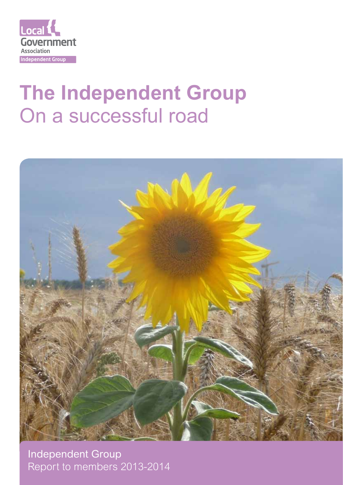

# **The Independent Group**  On a successful road



Independent Group Report to members 2013-2014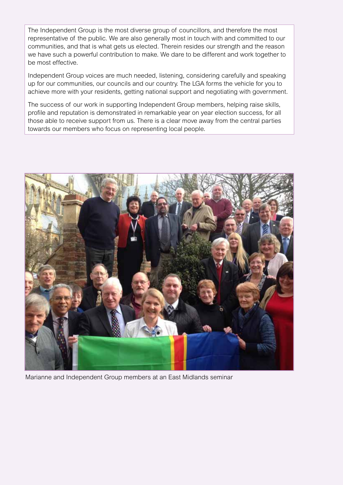The Independent Group is the most diverse group of councillors, and therefore the most representative of the public. We are also generally most in touch with and committed to our communities, and that is what gets us elected. Therein resides our strength and the reason we have such a powerful contribution to make. We dare to be different and work together to be most effective.

Independent Group voices are much needed, listening, considering carefully and speaking up for our communities, our councils and our country. The LGA forms the vehicle for you to achieve more with your residents, getting national support and negotiating with government.

The success of our work in supporting Independent Group members, helping raise skills, profile and reputation is demonstrated in remarkable year on year election success, for all those able to receive support from us. There is a clear move away from the central parties towards our members who focus on representing local people.



Marianne and Independent Group members at an East Midlands seminar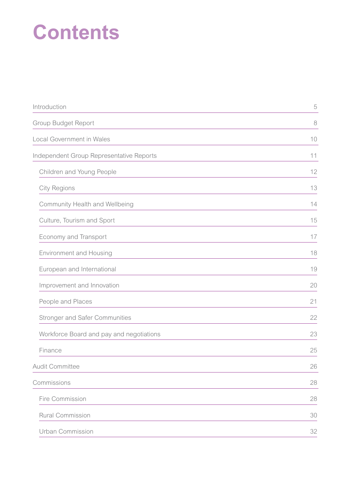# **Contents**

| Introduction                             | 5  |
|------------------------------------------|----|
| <b>Group Budget Report</b>               | 8  |
| <b>Local Government in Wales</b>         | 10 |
| Independent Group Representative Reports | 11 |
| Children and Young People                | 12 |
| <b>City Regions</b>                      | 13 |
| Community Health and Wellbeing           | 14 |
| Culture, Tourism and Sport               | 15 |
| Economy and Transport                    | 17 |
| <b>Environment and Housing</b>           | 18 |
| European and International               | 19 |
| Improvement and Innovation               | 20 |
| People and Places                        | 21 |
| <b>Stronger and Safer Communities</b>    | 22 |
| Workforce Board and pay and negotiations | 23 |
| Finance                                  | 25 |
| <b>Audit Committee</b>                   | 26 |
| Commissions                              | 28 |
| Fire Commission                          | 28 |
| <b>Rural Commission</b>                  | 30 |
| <b>Urban Commission</b>                  | 32 |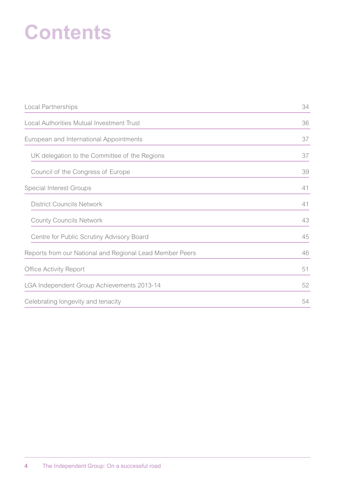# **Contents**

| <b>Local Partnerships</b>                                | 34 |
|----------------------------------------------------------|----|
| Local Authorities Mutual Investment Trust                | 36 |
| European and International Appointments                  | 37 |
| UK delegation to the Committee of the Regions            | 37 |
| Council of the Congress of Europe                        | 39 |
| <b>Special Interest Groups</b>                           | 41 |
| <b>District Councils Network</b>                         | 41 |
| <b>County Councils Network</b>                           | 43 |
| Centre for Public Scrutiny Advisory Board                | 45 |
| Reports from our National and Regional Lead Member Peers | 46 |
| <b>Office Activity Report</b>                            | 51 |
| LGA Independent Group Achievements 2013-14               | 52 |
| Celebrating longevity and tenacity                       | 54 |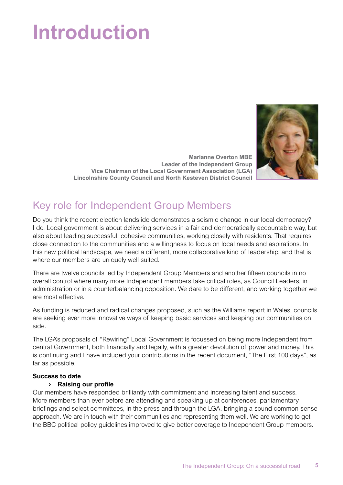# **Introduction**

**Marianne Overton MBE Leader of the Independent Group Vice Chairman of the Local Government Association (LGA) Lincolnshire County Council and North Kesteven District Council**



# Key role for Independent Group Members

Do you think the recent election landslide demonstrates a seismic change in our local democracy? I do. Local government is about delivering services in a fair and democratically accountable way, but also about leading successful, cohesive communities, working closely with residents. That requires close connection to the communities and a willingness to focus on local needs and aspirations. In this new political landscape, we need a different, more collaborative kind of leadership, and that is where our members are uniquely well suited.

There are twelve councils led by Independent Group Members and another fifteen councils in no overall control where many more Independent members take critical roles, as Council Leaders, in administration or in a counterbalancing opposition. We dare to be different, and working together we are most effective.

As funding is reduced and radical changes proposed, such as the Williams report in Wales, councils are seeking ever more innovative ways of keeping basic services and keeping our communities on side.

The LGA's proposals of "Rewiring" Local Government is focussed on being more Independent from central Government, both financially and legally, with a greater devolution of power and money. This is continuing and I have included your contributions in the recent document, "The First 100 days", as far as possible.

#### **Success to date**

#### î **Raising our profile**

Our members have responded brilliantly with commitment and increasing talent and success. More members than ever before are attending and speaking up at conferences, parliamentary briefings and select committees, in the press and through the LGA, bringing a sound common-sense approach. We are in touch with their communities and representing them well. We are working to get the BBC political policy guidelines improved to give better coverage to Independent Group members.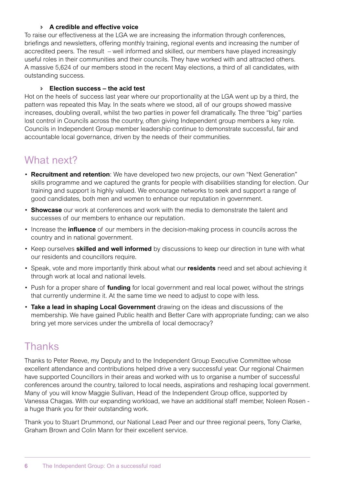#### î **A credible and effective voice**

To raise our effectiveness at the LGA we are increasing the information through conferences, briefings and newsletters, offering monthly training, regional events and increasing the number of accredited peers. The result – well informed and skilled, our members have played increasingly useful roles in their communities and their councils. They have worked with and attracted others. A massive 5,624 of our members stood in the recent May elections, a third of all candidates, with outstanding success.

#### î **Election success – the acid test**

Hot on the heels of success last year where our proportionality at the LGA went up by a third, the pattern was repeated this May. In the seats where we stood, all of our groups showed massive increases, doubling overall, whilst the two parties in power fell dramatically. The three "big" parties lost control in Councils across the country, often giving Independent group members a key role. Councils in Independent Group member leadership continue to demonstrate successful, fair and accountable local governance, driven by the needs of their communities.

## What next?

- • **Recruitment and retention**: We have developed two new projects, our own "Next Generation" skills programme and we captured the grants for people with disabilities standing for election. Our training and support is highly valued. We encourage networks to seek and support a range of good candidates, both men and women to enhance our reputation in government.
- • **Showcase** our work at conferences and work with the media to demonstrate the talent and successes of our members to enhance our reputation.
- • Increase the **influence** of our members in the decision-making process in councils across the country and in national government.
- • Keep ourselves **skilled and well informed** by discussions to keep our direction in tune with what our residents and councillors require.
- • Speak, vote and more importantly think about what our **residents** need and set about achieving it through work at local and national levels.
- Push for a proper share of **funding** for local government and real local power, without the strings that currently undermine it. At the same time we need to adjust to cope with less.
- Take a lead in shaping Local Government drawing on the ideas and discussions of the membership. We have gained Public health and Better Care with appropriate funding; can we also bring yet more services under the umbrella of local democracy?

## **Thanks**

Thanks to Peter Reeve, my Deputy and to the Independent Group Executive Committee whose excellent attendance and contributions helped drive a very successful year. Our regional Chairmen have supported Councillors in their areas and worked with us to organise a number of successful conferences around the country, tailored to local needs, aspirations and reshaping local government. Many of you will know Maggie Sullivan, Head of the Independent Group office, supported by Vanessa Chagas. With our expanding workload, we have an additional staff member, Noleen Rosen a huge thank you for their outstanding work.

Thank you to Stuart Drummond, our National Lead Peer and our three regional peers, Tony Clarke, Graham Brown and Colin Mann for their excellent service.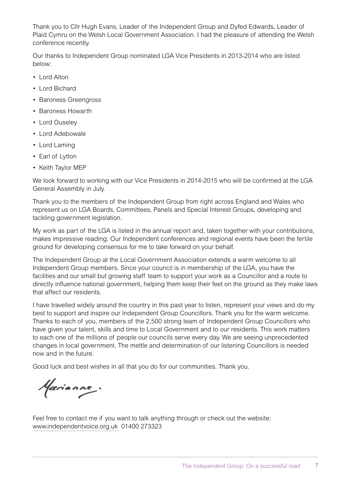Thank you to Cllr Hugh Evans, Leader of the Independent Group and Dyfed Edwards, Leader of Plaid Cymru on the Welsh Local Government Association. I had the pleasure of attending the Welsh conference recently.

Our thanks to Independent Group nominated LGA Vice Presidents in 2013-2014 who are listed below:

- Lord Alton
- • Lord Bichard
- • Baroness Greengross
- • Baroness Howarth
- Lord Ouseley
- Lord Adebowale
- • Lord Laming
- Earl of Lytton
- Keith Taylor MEP

We look forward to working with our Vice Presidents in 2014-2015 who will be confirmed at the LGA General Assembly in July.

Thank you to the members of the Independent Group from right across England and Wales who represent us on LGA Boards, Committees, Panels and Special Interest Groups, developing and tackling government legislation.

My work as part of the LGA is listed in the annual report and, taken together with your contributions, makes impressive reading. Our Independent conferences and regional events have been the fertile ground for developing consensus for me to take forward on your behalf.

The Independent Group at the Local Government Association extends a warm welcome to all Independent Group members. Since your council is in membership of the LGA, you have the facilities and our small but growing staff team to support your work as a Councillor and a route to directly influence national government, helping them keep their feet on the ground as they make laws that affect our residents.

I have travelled widely around the country in this past year to listen, represent your views and do my best to support and inspire our Independent Group Councillors. Thank you for the warm welcome. Thanks to each of you, members of the 2,500 strong team of Independent Group Councillors who have given your talent, skills and time to Local Government and to our residents. This work matters to each one of the millions of people our councils serve every day. We are seeing unprecedented changes in local government. The mettle and determination of our listening Councillors is needed now and in the future.

Good luck and best wishes in all that you do for our communities. Thank you.

Marianne.

Feel free to contact me if you want to talk anything through or check out the website: www.independentvoice.org.uk 01400 273323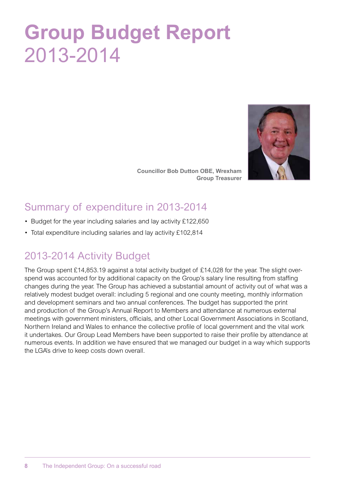# **Group Budget Report**  2013-2014



**Councillor Bob Dutton OBE, Wrexham Group Treasurer**

# Summary of expenditure in 2013-2014

- Budget for the year including salaries and lay activity £122,650
- Total expenditure including salaries and lay activity £102,814

### 2013-2014 Activity Budget

The Group spent £14,853.19 against a total activity budget of £14,028 for the year. The slight overspend was accounted for by additional capacity on the Group's salary line resulting from staffing changes during the year. The Group has achieved a substantial amount of activity out of what was a relatively modest budget overall: including 5 regional and one county meeting, monthly information and development seminars and two annual conferences. The budget has supported the print and production of the Group's Annual Report to Members and attendance at numerous external meetings with government ministers, officials, and other Local Government Associations in Scotland, Northern Ireland and Wales to enhance the collective profile of local government and the vital work it undertakes. Our Group Lead Members have been supported to raise their profile by attendance at numerous events. In addition we have ensured that we managed our budget in a way which supports the LGA's drive to keep costs down overall.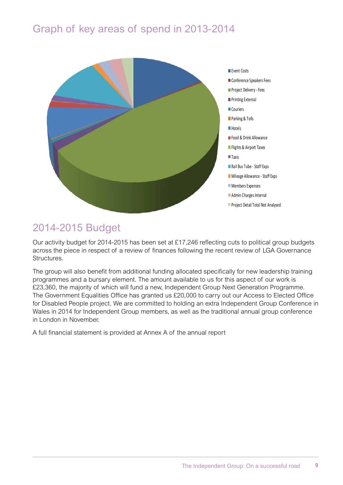## Graph of key areas of spend in 2013-2014



## 2014-2015 Budget

Our activity budget for 2014-2015 has been set at £17,246 reflecting cuts to political group budgets across the piece in respect of a review of finances following the recent review of LGA Governance Structures.

The group will also benefit from additional funding allocated specifically for new leadership training programmes and a bursary element. The amount available to us for this aspect of our work is £23,360, the majority of which will fund a new, Independent Group Next Generation Programme. The Government Equalities Office has granted us £20,000 to carry out our Access to Elected Office for Disabled People project. We are committed to holding an extra Independent Group Conference in Wales in 2014 for Independent Group members, as well as the traditional annual group conference in London in November.

A full financial statement is provided at Annex A of the annual report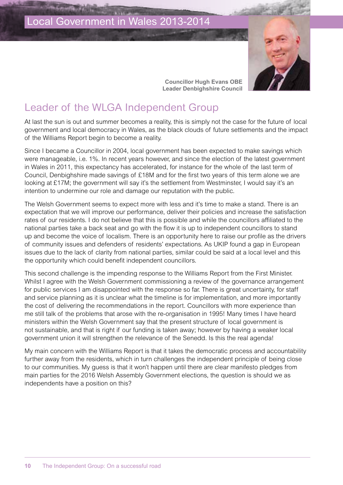### Local Government in Wales 2013-2014



**Councillor Hugh Evans OBE Leader Denbighshire Council**

# Leader of the WLGA Independent Group

At last the sun is out and summer becomes a reality, this is simply not the case for the future of local government and local democracy in Wales, as the black clouds of future settlements and the impact of the Williams Report begin to become a reality.

Since I became a Councillor in 2004, local government has been expected to make savings which were manageable, i.e. 1%. In recent years however, and since the election of the latest government in Wales in 2011, this expectancy has accelerated, for instance for the whole of the last term of Council, Denbighshire made savings of £18M and for the first two years of this term alone we are looking at £17M; the government will say it's the settlement from Westminster, I would say it's an intention to undermine our role and damage our reputation with the public.

The Welsh Government seems to expect more with less and it's time to make a stand. There is an expectation that we will improve our performance, deliver their policies and increase the satisfaction rates of our residents. I do not believe that this is possible and while the councillors affiliated to the national parties take a back seat and go with the flow it is up to independent councillors to stand up and become the voice of localism. There is an opportunity here to raise our profile as the drivers of community issues and defenders of residents' expectations. As UKIP found a gap in European issues due to the lack of clarity from national parties, similar could be said at a local level and this the opportunity which could benefit independent councillors.

This second challenge is the impending response to the Williams Report from the First Minister. Whilst I agree with the Welsh Government commissioning a review of the governance arrangement for public services I am disappointed with the response so far. There is great uncertainty, for staff and service planning as it is unclear what the timeline is for implementation, and more importantly the cost of delivering the recommendations in the report. Councillors with more experience than me still talk of the problems that arose with the re-organisation in 1995! Many times I have heard ministers within the Welsh Government say that the present structure of local government is not sustainable, and that is right if our funding is taken away; however by having a weaker local government union it will strengthen the relevance of the Senedd. Is this the real agenda!

My main concern with the Williams Report is that it takes the democratic process and accountability further away from the residents, which in turn challenges the independent principle of being close to our communities. My guess is that it won't happen until there are clear manifesto pledges from main parties for the 2016 Welsh Assembly Government elections, the question is should we as independents have a position on this?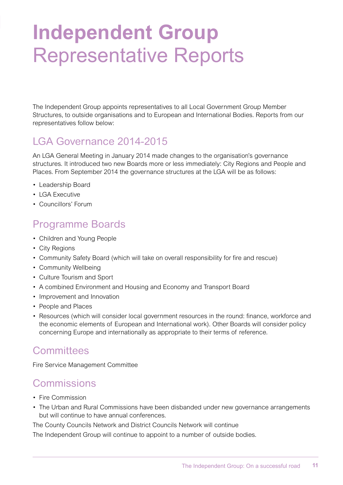# **Independent Group**  Representative Reports

The Independent Group appoints representatives to all Local Government Group Member Structures, to outside organisations and to European and International Bodies. Reports from our representatives follow below:

## LGA Governance 2014-2015

An LGA General Meeting in January 2014 made changes to the organisation's governance structures. It introduced two new Boards more or less immediately: City Regions and People and Places. From September 2014 the governance structures at the LGA will be as follows:

- • Leadership Board
- LGA Executive
- • Councillors' Forum

## Programme Boards

- Children and Young People
- City Regions
- Community Safety Board (which will take on overall responsibility for fire and rescue)
- • Community Wellbeing
- • Culture Tourism and Sport
- A combined Environment and Housing and Economy and Transport Board
- Improvement and Innovation
- • People and Places
- Resources (which will consider local government resources in the round: finance, workforce and the economic elements of European and International work). Other Boards will consider policy concerning Europe and internationally as appropriate to their terms of reference.

### **Committees**

Fire Service Management Committee

### Commissions

- Fire Commission
- The Urban and Rural Commissions have been disbanded under new governance arrangements but will continue to have annual conferences.

The County Councils Network and District Councils Network will continue

The Independent Group will continue to appoint to a number of outside bodies.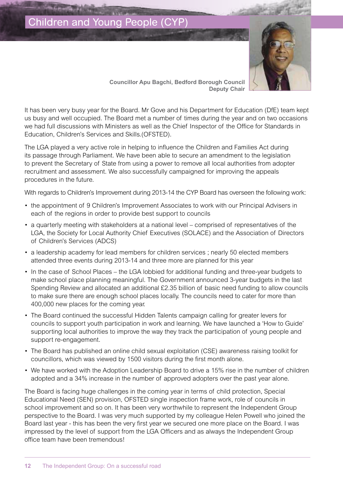

**Councillor Apu Bagchi, Bedford Borough Council Deputy Chair**

It has been very busy year for the Board. Mr Gove and his Department for Education (DfE) team kept us busy and well occupied. The Board met a number of times during the year and on two occasions we had full discussions with Ministers as well as the Chief Inspector of the Office for Standards in Education, Children's Services and Skills.(OFSTED).

The LGA played a very active role in helping to influence the Children and Families Act during its passage through Parliament. We have been able to secure an amendment to the legislation to prevent the Secretary of State from using a power to remove all local authorities from adopter recruitment and assessment. We also successfully campaigned for improving the appeals procedures in the future.

With regards to Children's Improvement during 2013-14 the CYP Board has overseen the following work:

- the appointment of 9 Children's Improvement Associates to work with our Principal Advisers in each of the regions in order to provide best support to councils
- • a quarterly meeting with stakeholders at a national level comprised of representatives of the LGA, the Society for Local Authority Chief Executives (SOLACE) and the Association of Directors of Children's Services (ADCS)
- a leadership academy for lead members for children services; nearly 50 elected members attended three events during 2013-14 and three more are planned for this year
- In the case of School Places the LGA lobbied for additional funding and three-year budgets to make school place planning meaningful. The Government announced 3-year budgets in the last Spending Review and allocated an additional £2.35 billion of basic need funding to allow councils to make sure there are enough school places locally. The councils need to cater for more than 400,000 new places for the coming year.
- The Board continued the successful Hidden Talents campaign calling for greater levers for councils to support youth participation in work and learning. We have launched a 'How to Guide' supporting local authorities to improve the way they track the participation of young people and support re-engagement.
- • The Board has published an online child sexual exploitation (CSE) awareness raising toolkit for councillors, which was viewed by 1500 visitors during the first month alone.
- We have worked with the Adoption Leadership Board to drive a 15% rise in the number of children adopted and a 34% increase in the number of approved adopters over the past year alone.

The Board is facing huge challenges in the coming year in terms of child protection, Special Educational Need (SEN) provision, OFSTED single inspection frame work, role of councils in school improvement and so on. It has been very worthwhile to represent the Independent Group perspective to the Board. I was very much supported by my colleague Helen Powell who joined the Board last year - this has been the very first year we secured one more place on the Board. I was impressed by the level of support from the LGA Officers and as always the Independent Group office team have been tremendous!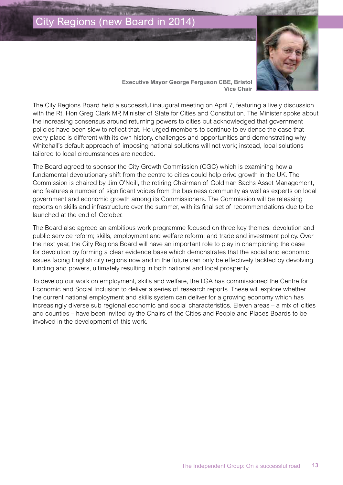### City Regions (new Board in 2014)



**Executive Mayor George Ferguson CBE, Bristol Vice Chair**

The City Regions Board held a successful inaugural meeting on April 7, featuring a lively discussion with the Rt. Hon Greg Clark MP, Minister of State for Cities and Constitution. The Minister spoke about the increasing consensus around returning powers to cities but acknowledged that government policies have been slow to reflect that. He urged members to continue to evidence the case that every place is different with its own history, challenges and opportunities and demonstrating why Whitehall's default approach of imposing national solutions will not work; instead, local solutions tailored to local circumstances are needed.

The Board agreed to sponsor the City Growth Commission (CGC) which is examining how a fundamental devolutionary shift from the centre to cities could help drive growth in the UK. The Commission is chaired by Jim O'Neill, the retiring Chairman of Goldman Sachs Asset Management, and features a number of significant voices from the business community as well as experts on local government and economic growth among its Commissioners. The Commission will be releasing reports on skills and infrastructure over the summer, with its final set of recommendations due to be launched at the end of October.

The Board also agreed an ambitious work programme focused on three key themes: devolution and public service reform; skills, employment and welfare reform; and trade and investment policy. Over the next year, the City Regions Board will have an important role to play in championing the case for devolution by forming a clear evidence base which demonstrates that the social and economic issues facing English city regions now and in the future can only be effectively tackled by devolving funding and powers, ultimately resulting in both national and local prosperity.

To develop our work on employment, skills and welfare, the LGA has commissioned the Centre for Economic and Social Inclusion to deliver a series of research reports. These will explore whether the current national employment and skills system can deliver for a growing economy which has increasingly diverse sub regional economic and social characteristics. Eleven areas – a mix of cities and counties – have been invited by the Chairs of the Cities and People and Places Boards to be involved in the development of this work.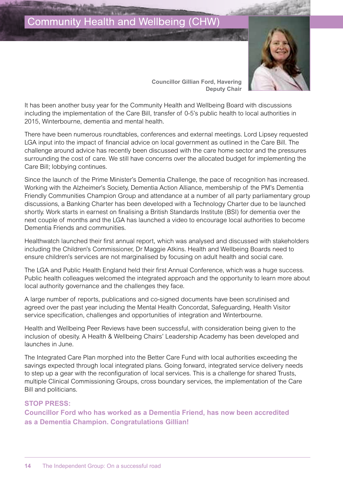## **Community Health and Wellbeing (CHW)**



**Councillor Gillian Ford, Havering Deputy Chair** 

It has been another busy year for the Community Health and Wellbeing Board with discussions including the implementation of the Care Bill, transfer of 0-5's public health to local authorities in 2015, Winterbourne, dementia and mental health.

There have been numerous roundtables, conferences and external meetings. Lord Lipsey requested LGA input into the impact of financial advice on local government as outlined in the Care Bill. The challenge around advice has recently been discussed with the care home sector and the pressures surrounding the cost of care. We still have concerns over the allocated budget for implementing the Care Bill; lobbying continues.

Since the launch of the Prime Minister's Dementia Challenge, the pace of recognition has increased. Working with the Alzheimer's Society, Dementia Action Alliance, membership of the PM's Dementia Friendly Communities Champion Group and attendance at a number of all party parliamentary group discussions, a Banking Charter has been developed with a Technology Charter due to be launched shortly. Work starts in earnest on finalising a British Standards Institute (BSI) for dementia over the next couple of months and the LGA has launched a video to encourage local authorities to become Dementia Friends and communities.

Healthwatch launched their first annual report, which was analysed and discussed with stakeholders including the Children's Commissioner, Dr Maggie Atkins. Health and Wellbeing Boards need to ensure children's services are not marginalised by focusing on adult health and social care.

The LGA and Public Health England held their first Annual Conference, which was a huge success. Public health colleagues welcomed the integrated approach and the opportunity to learn more about local authority governance and the challenges they face.

A large number of reports, publications and co-signed documents have been scrutinised and agreed over the past year including the Mental Health Concordat, Safeguarding, Health Visitor service specification, challenges and opportunities of integration and Winterbourne.

Health and Wellbeing Peer Reviews have been successful, with consideration being given to the inclusion of obesity. A Health & Wellbeing Chairs' Leadership Academy has been developed and launches in June.

The Integrated Care Plan morphed into the Better Care Fund with local authorities exceeding the savings expected through local integrated plans. Going forward, integrated service delivery needs to step up a gear with the reconfiguration of local services. This is a challenge for shared Trusts, multiple Clinical Commissioning Groups, cross boundary services, the implementation of the Care Bill and politicians.

#### **STOP PRESS:**

**Councillor Ford who has worked as a Dementia Friend, has now been accredited as a Dementia Champion. Congratulations Gillian!**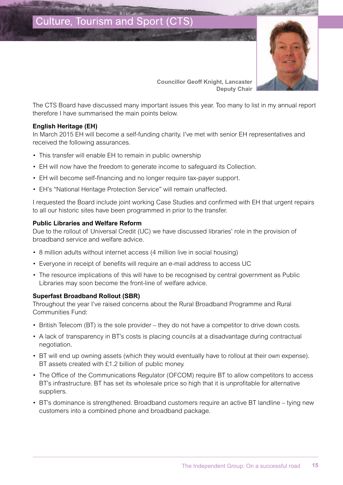

**Councillor Geoff Knight, Lancaster Deputy Chair**

The CTS Board have discussed many important issues this year. Too many to list in my annual report therefore I have summarised the main points below.

#### **English Heritage (EH)**

In March 2015 EH will become a self-funding charity. I've met with senior EH representatives and received the following assurances.

- This transfer will enable EH to remain in public ownership
- EH will now have the freedom to generate income to safeguard its Collection.
- EH will become self-financing and no longer require tax-payer support.
- EH's "National Heritage Protection Service" will remain unaffected.

I requested the Board include joint working Case Studies and confirmed with EH that urgent repairs to all our historic sites have been programmed in prior to the transfer.

#### **Public Libraries and Welfare Reform**

Due to the rollout of Universal Credit (UC) we have discussed libraries' role in the provision of broadband service and welfare advice.

- 8 million adults without internet access (4 million live in social housing)
- • Everyone in receipt of benefits will require an e-mail address to access UC
- The resource implications of this will have to be recognised by central government as Public Libraries may soon become the front-line of welfare advice.

#### **Superfast Broadband Rollout (SBR)**

Throughout the year I've raised concerns about the Rural Broadband Programme and Rural Communities Fund:

- British Telecom (BT) is the sole provider they do not have a competitor to drive down costs.
- A lack of transparency in BT's costs is placing councils at a disadvantage during contractual negotiation.
- BT will end up owning assets (which they would eventually have to rollout at their own expense). BT assets created with £1.2 billion of public money.
- The Office of the Communications Regulator (OFCOM) require BT to allow competitors to access BT's infrastructure. BT has set its wholesale price so high that it is unprofitable for alternative suppliers.
- BT's dominance is strengthened. Broadband customers require an active BT landline tying new customers into a combined phone and broadband package.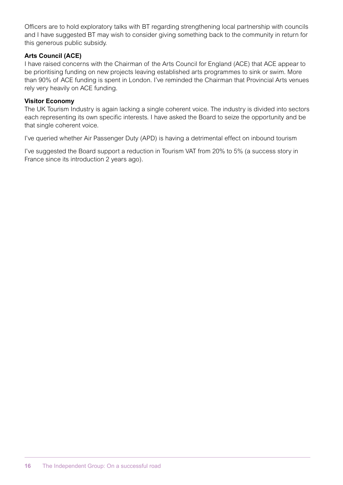Officers are to hold exploratory talks with BT regarding strengthening local partnership with councils and I have suggested BT may wish to consider giving something back to the community in return for this generous public subsidy.

#### **Arts Council (ACE)**

I have raised concerns with the Chairman of the Arts Council for England (ACE) that ACE appear to be prioritising funding on new projects leaving established arts programmes to sink or swim. More than 90% of ACE funding is spent in London. I've reminded the Chairman that Provincial Arts venues rely very heavily on ACE funding.

#### **Visitor Economy**

The UK Tourism Industry is again lacking a single coherent voice. The industry is divided into sectors each representing its own specific interests. I have asked the Board to seize the opportunity and be that single coherent voice.

I've queried whether Air Passenger Duty (APD) is having a detrimental effect on inbound tourism

I've suggested the Board support a reduction in Tourism VAT from 20% to 5% (a success story in France since its introduction 2 years ago).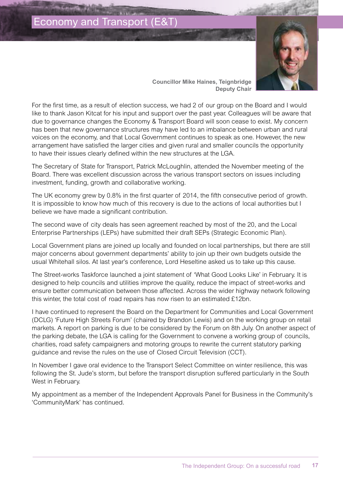



**Councillor Mike Haines, Teignbridge Deputy Chair**

For the first time, as a result of election success, we had 2 of our group on the Board and I would like to thank Jason Kitcat for his input and support over the past year. Colleagues will be aware that due to governance changes the Economy & Transport Board will soon cease to exist. My concern has been that new governance structures may have led to an imbalance between urban and rural voices on the economy, and that Local Government continues to speak as one. However, the new arrangement have satisfied the larger cities and given rural and smaller councils the opportunity to have their issues clearly defined within the new structures at the LGA.

The Secretary of State for Transport, Patrick McLoughlin, attended the November meeting of the Board. There was excellent discussion across the various transport sectors on issues including investment, funding, growth and collaborative working.

The UK economy grew by 0.8% in the first quarter of 2014, the fifth consecutive period of growth. It is impossible to know how much of this recovery is due to the actions of local authorities but I believe we have made a significant contribution.

The second wave of city deals has seen agreement reached by most of the 20, and the Local Enterprise Partnerships (LEPs) have submitted their draft SEPs (Strategic Economic Plan).

Local Government plans are joined up locally and founded on local partnerships, but there are still major concerns about government departments' ability to join up their own budgets outside the usual Whitehall silos. At last year's conference, Lord Heseltine asked us to take up this cause.

The Street-works Taskforce launched a joint statement of 'What Good Looks Like' in February. It is designed to help councils and utilities improve the quality, reduce the impact of street-works and ensure better communication between those affected. Across the wider highway network following this winter, the total cost of road repairs has now risen to an estimated £12bn.

I have continued to represent the Board on the Department for Communities and Local Government (DCLG) 'Future High Streets Forum' (chaired by Brandon Lewis) and on the working group on retail markets. A report on parking is due to be considered by the Forum on 8th July. On another aspect of the parking debate, the LGA is calling for the Government to convene a working group of councils, charities, road safety campaigners and motoring groups to rewrite the current statutory parking guidance and revise the rules on the use of Closed Circuit Television (CCT).

In November I gave oral evidence to the Transport Select Committee on winter resilience, this was following the St. Jude's storm, but before the transport disruption suffered particularly in the South West in February.

My appointment as a member of the Independent Approvals Panel for Business in the Community's 'CommunityMark' has continued.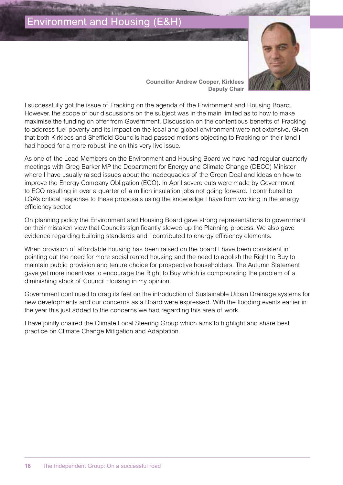

**Councillor Andrew Cooper, Kirklees Deputy Chair**

I successfully got the issue of Fracking on the agenda of the Environment and Housing Board. However, the scope of our discussions on the subject was in the main limited as to how to make maximise the funding on offer from Government. Discussion on the contentious benefits of Fracking to address fuel poverty and its impact on the local and global environment were not extensive. Given that both Kirklees and Sheffield Councils had passed motions objecting to Fracking on their land I had hoped for a more robust line on this very live issue.

As one of the Lead Members on the Environment and Housing Board we have had regular quarterly meetings with Greg Barker MP the Department for Energy and Climate Change (DECC) Minister where I have usually raised issues about the inadequacies of the Green Deal and ideas on how to improve the Energy Company Obligation (ECO). In April severe cuts were made by Government to ECO resulting in over a quarter of a million insulation jobs not going forward. I contributed to LGA's critical response to these proposals using the knowledge I have from working in the energy efficiency sector.

On planning policy the Environment and Housing Board gave strong representations to government on their mistaken view that Councils significantly slowed up the Planning process. We also gave evidence regarding building standards and I contributed to energy efficiency elements.

When provision of affordable housing has been raised on the board I have been consistent in pointing out the need for more social rented housing and the need to abolish the Right to Buy to maintain public provision and tenure choice for prospective householders. The Autumn Statement gave yet more incentives to encourage the Right to Buy which is compounding the problem of a diminishing stock of Council Housing in my opinion.

Government continued to drag its feet on the introduction of Sustainable Urban Drainage systems for new developments and our concerns as a Board were expressed. With the flooding events earlier in the year this just added to the concerns we had regarding this area of work.

I have jointly chaired the Climate Local Steering Group which aims to highlight and share best practice on Climate Change Mitigation and Adaptation.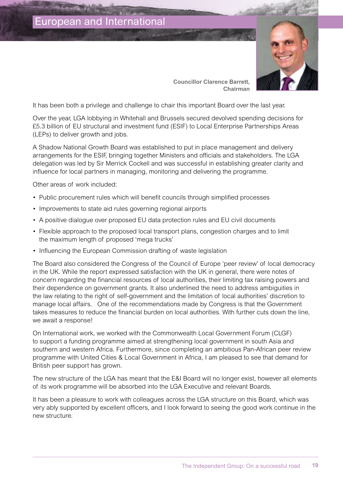

**Councillor Clarence Barrett, Chairman** 

It has been both a privilege and challenge to chair this important Board over the last year.

Over the year, LGA lobbying in Whitehall and Brussels secured devolved spending decisions for £5.3 billion of EU structural and investment fund (ESIF) to Local Enterprise Partnerships Areas (LEPs) to deliver growth and jobs.

A Shadow National Growth Board was established to put in place management and delivery arrangements for the ESIF, bringing together Ministers and officials and stakeholders. The LGA delegation was led by Sir Merrick Cockell and was successful in establishing greater clarity and influence for local partners in managing, monitoring and delivering the programme.

Other areas of work included:

- • Public procurement rules which will benefit councils through simplified processes
- Improvements to state aid rules governing regional airports
- • A positive dialogue over proposed EU data protection rules and EU civil documents
- Flexible approach to the proposed local transport plans, congestion charges and to limit the maximum length of proposed 'mega trucks'
- Influencing the European Commission drafting of waste legislation

The Board also considered the Congress of the Council of Europe 'peer review' of local democracy in the UK. While the report expressed satisfaction with the UK in general, there were notes of concern regarding the financial resources of local authorities, their limiting tax raising powers and their dependence on government grants. It also underlined the need to address ambiguities in the law relating to the right of self-government and the limitation of local authorities' discretion to manage local affairs. One of the recommendations made by Congress is that the Government takes measures to reduce the financial burden on local authorities. With further cuts down the line, we await a response!

On International work, we worked with the Commonwealth Local Government Forum (CLGF) to support a funding programme aimed at strengthening local government in south Asia and southern and western Africa. Furthermore, since completing an ambitious Pan-African peer review programme with United Cities & Local Government in Africa, I am pleased to see that demand for British peer support has grown.

The new structure of the LGA has meant that the E&I Board will no longer exist, however all elements of its work programme will be absorbed into the LGA Executive and relevant Boards.

It has been a pleasure to work with colleagues across the LGA structure on this Board, which was very ably supported by excellent officers, and I look forward to seeing the good work continue in the new structure.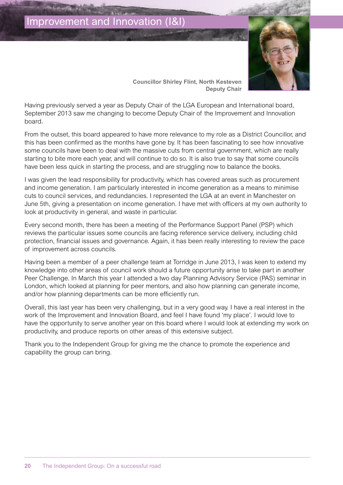

**Councillor Shirley Flint, North Kesteven Deputy Chair**

Having previously served a year as Deputy Chair of the LGA European and International board, September 2013 saw me changing to become Deputy Chair of the Improvement and Innovation board.

From the outset, this board appeared to have more relevance to my role as a District Councillor, and this has been confirmed as the months have gone by. It has been fascinating to see how innovative some councils have been to deal with the massive cuts from central government, which are really starting to bite more each year, and will continue to do so. It is also true to say that some councils have been less quick in starting the process, and are struggling now to balance the books.

I was given the lead responsibility for productivity, which has covered areas such as procurement and income generation. I am particularly interested in income generation as a means to minimise cuts to council services, and redundancies. I represented the LGA at an event in Manchester on June 5th, giving a presentation on income generation. I have met with officers at my own authority to look at productivity in general, and waste in particular.

Every second month, there has been a meeting of the Performance Support Panel (PSP) which reviews the particular issues some councils are facing reference service delivery, including child protection, financial issues and governance. Again, it has been really interesting to review the pace of improvement across councils.

Having been a member of a peer challenge team at Torridge in June 2013, I was keen to extend my knowledge into other areas of council work should a future opportunity arise to take part in another Peer Challenge. In March this year I attended a two day Planning Advisory Service (PAS) seminar in London, which looked at planning for peer mentors, and also how planning can generate income, and/or how planning departments can be more efficiently run.

Overall, this last year has been very challenging, but in a very good way. I have a real interest in the work of the Improvement and Innovation Board, and feel I have found 'my place'. I would love to have the opportunity to serve another year on this board where I would look at extending my work on productivity, and produce reports on other areas of this extensive subject.

Thank you to the Independent Group for giving me the chance to promote the experience and capability the group can bring.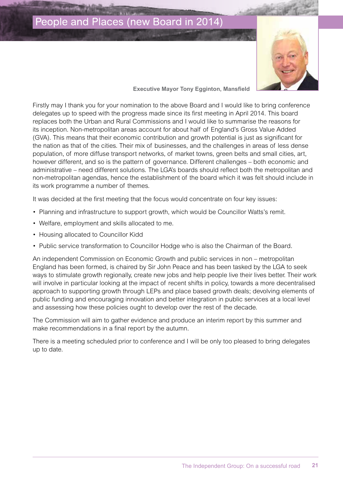### People and Places (new Board in 2014)



**Executive Mayor Tony Egginton, Mansfield**

Firstly may I thank you for your nomination to the above Board and I would like to bring conference delegates up to speed with the progress made since its first meeting in April 2014. This board replaces both the Urban and Rural Commissions and I would like to summarise the reasons for its inception. Non-metropolitan areas account for about half of England's Gross Value Added (GVA). This means that their economic contribution and growth potential is just as significant for the nation as that of the cities. Their mix of businesses, and the challenges in areas of less dense population, of more diffuse transport networks, of market towns, green belts and small cities, art, however different, and so is the pattern of governance. Different challenges – both economic and administrative – need different solutions. The LGA's boards should reflect both the metropolitan and non-metropolitan agendas, hence the establishment of the board which it was felt should include in its work programme a number of themes.

It was decided at the first meeting that the focus would concentrate on four key issues:

- Planning and infrastructure to support growth, which would be Councillor Watts's remit.
- Welfare, employment and skills allocated to me.
- Housing allocated to Councillor Kidd
- Public service transformation to Councillor Hodge who is also the Chairman of the Board.

An independent Commission on Economic Growth and public services in non – metropolitan England has been formed, is chaired by Sir John Peace and has been tasked by the LGA to seek ways to stimulate growth regionally, create new jobs and help people live their lives better. Their work will involve in particular looking at the impact of recent shifts in policy, towards a more decentralised approach to supporting growth through LEPs and place based growth deals; devolving elements of public funding and encouraging innovation and better integration in public services at a local level and assessing how these policies ought to develop over the rest of the decade.

The Commission will aim to gather evidence and produce an interim report by this summer and make recommendations in a final report by the autumn.

There is a meeting scheduled prior to conference and I will be only too pleased to bring delegates up to date.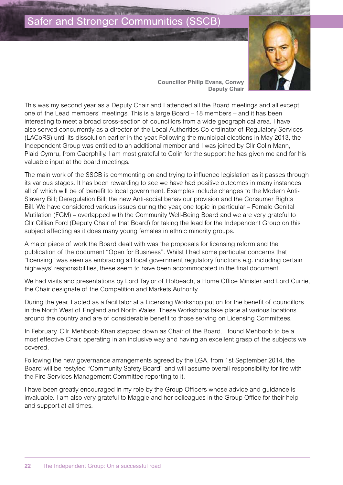## **Safer and Stronger Communities (SSCB)**



**Councillor Philip Evans, Conwy Deputy Chair**

This was my second year as a Deputy Chair and I attended all the Board meetings and all except one of the Lead members' meetings. This is a large Board – 18 members – and it has been interesting to meet a broad cross-section of councillors from a wide geographical area. I have also served concurrently as a director of the Local Authorities Co-ordinator of Regulatory Services (LACoRS) until its dissolution earlier in the year. Following the municipal elections in May 2013, the Independent Group was entitled to an additional member and I was joined by Cllr Colin Mann, Plaid Cymru, from Caerphilly. I am most grateful to Colin for the support he has given me and for his valuable input at the board meetings.

The main work of the SSCB is commenting on and trying to influence legislation as it passes through its various stages. It has been rewarding to see we have had positive outcomes in many instances all of which will be of benefit to local government. Examples include changes to the Modern Anti-Slavery Bill; Deregulation Bill; the new Anti-social behaviour provision and the Consumer Rights Bill. We have considered various issues during the year, one topic in particular – Female Genital Mutilation (FGM) – overlapped with the Community Well-Being Board and we are very grateful to Cllr Gillian Ford (Deputy Chair of that Board) for taking the lead for the Independent Group on this subject affecting as it does many young females in ethnic minority groups.

A major piece of work the Board dealt with was the proposals for licensing reform and the publication of the document "Open for Business". Whilst I had some particular concerns that "licensing" was seen as embracing all local government regulatory functions e.g. including certain highways' responsibilities, these seem to have been accommodated in the final document.

We had visits and presentations by Lord Taylor of Holbeach, a Home Office Minister and Lord Currie, the Chair designate of the Competition and Markets Authority.

During the year, I acted as a facilitator at a Licensing Workshop put on for the benefit of councillors in the North West of England and North Wales. These Workshops take place at various locations around the country and are of considerable benefit to those serving on Licensing Committees.

In February, Cllr. Mehboob Khan stepped down as Chair of the Board. I found Mehboob to be a most effective Chair, operating in an inclusive way and having an excellent grasp of the subjects we covered.

Following the new governance arrangements agreed by the LGA, from 1st September 2014, the Board will be restyled "Community Safety Board" and will assume overall responsibility for fire with the Fire Services Management Committee reporting to it.

I have been greatly encouraged in my role by the Group Officers whose advice and guidance is invaluable. I am also very grateful to Maggie and her colleagues in the Group Office for their help and support at all times.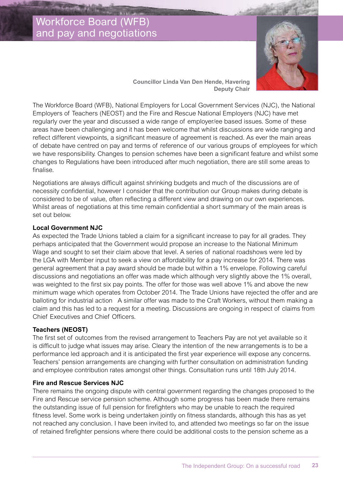## Workforce Board (WFB) and pay and negotiations



**Councillor Linda Van Den Hende, Havering Deputy Chair**

The Workforce Board (WFB), National Employers for Local Government Services (NJC), the National Employers of Teachers (NEOST) and the Fire and Rescue National Employers (NJC) have met regularly over the year and discussed a wide range of employer/ee based issues. Some of these areas have been challenging and it has been welcome that whilst discussions are wide ranging and reflect different viewpoints, a significant measure of agreement is reached. As ever the main areas of debate have centred on pay and terms of reference of our various groups of employees for which we have responsibility. Changes to pension schemes have been a significant feature and whilst some changes to Regulations have been introduced after much negotiation, there are still some areas to finalise.

Negotiations are always difficult against shrinking budgets and much of the discussions are of necessity confidential, however I consider that the contribution our Group makes during debate is considered to be of value, often reflecting a different view and drawing on our own experiences. Whilst areas of negotiations at this time remain confidential a short summary of the main areas is set out below.

#### **Local Government NJC**

As expected the Trade Unions tabled a claim for a significant increase to pay for all grades. They perhaps anticipated that the Government would propose an increase to the National Minimum Wage and sought to set their claim above that level. A series of national roadshows were led by the LGA with Member input to seek a view on affordability for a pay increase for 2014. There was general agreement that a pay award should be made but within a 1% envelope. Following careful discussions and negotiations an offer was made which although very slightly above the 1% overall, was weighted to the first six pay points. The offer for those was well above 1% and above the new minimum wage which operates from October 2014. The Trade Unions have rejected the offer and are balloting for industrial action A similar offer was made to the Craft Workers, without them making a claim and this has led to a request for a meeting. Discussions are ongoing in respect of claims from Chief Executives and Chief Officers.

#### **Teachers (NEOST)**

The first set of outcomes from the revised arrangement to Teachers Pay are not yet available so it is difficult to judge what issues may arise. Cleary the intention of the new arrangements is to be a performance led approach and it is anticipated the first year experience will expose any concerns. Teachers' pension arrangements are changing with further consultation on administration funding and employee contribution rates amongst other things. Consultation runs until 18th July 2014.

#### **Fire and Rescue Services NJC**

There remains the ongoing dispute with central government regarding the changes proposed to the Fire and Rescue service pension scheme. Although some progress has been made there remains the outstanding issue of full pension for firefighters who may be unable to reach the required fitness level. Some work is being undertaken jointly on fitness standards, although this has as yet not reached any conclusion. I have been invited to, and attended two meetings so far on the issue of retained firefighter pensions where there could be additional costs to the pension scheme as a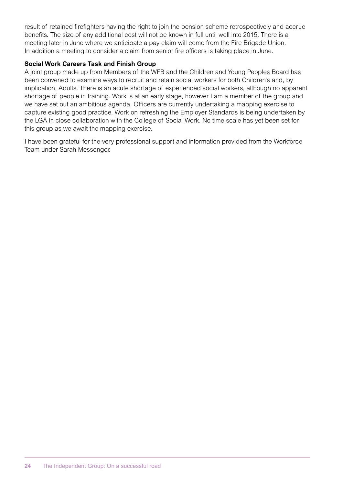result of retained firefighters having the right to join the pension scheme retrospectively and accrue benefits. The size of any additional cost will not be known in full until well into 2015. There is a meeting later in June where we anticipate a pay claim will come from the Fire Brigade Union. In addition a meeting to consider a claim from senior fire officers is taking place in June.

#### **Social Work Careers Task and Finish Group**

A joint group made up from Members of the WFB and the Children and Young Peoples Board has been convened to examine ways to recruit and retain social workers for both Children's and, by implication, Adults. There is an acute shortage of experienced social workers, although no apparent shortage of people in training. Work is at an early stage, however I am a member of the group and we have set out an ambitious agenda. Officers are currently undertaking a mapping exercise to capture existing good practice. Work on refreshing the Employer Standards is being undertaken by the LGA in close collaboration with the College of Social Work. No time scale has yet been set for this group as we await the mapping exercise.

I have been grateful for the very professional support and information provided from the Workforce Team under Sarah Messenger.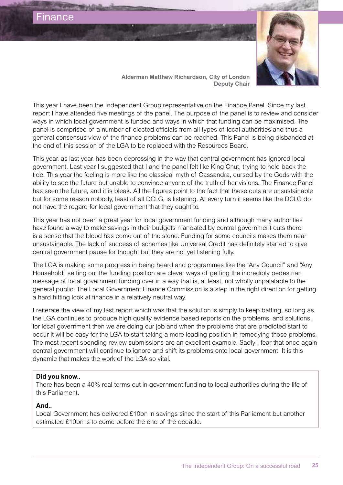

**Alderman Matthew Richardson, City of London Deputy Chair**

This year I have been the Independent Group representative on the Finance Panel. Since my last report I have attended five meetings of the panel. The purpose of the panel is to review and consider ways in which local government is funded and ways in which that funding can be maximised. The panel is comprised of a number of elected officials from all types of local authorities and thus a general consensus view of the finance problems can be reached. This Panel is being disbanded at the end of this session of the LGA to be replaced with the Resources Board.

This year, as last year, has been depressing in the way that central government has ignored local government. Last year I suggested that I and the panel felt like King Cnut, trying to hold back the tide. This year the feeling is more like the classical myth of Cassandra, cursed by the Gods with the ability to see the future but unable to convince anyone of the truth of her visions. The Finance Panel has seen the future, and it is bleak. All the figures point to the fact that these cuts are unsustainable but for some reason nobody, least of all DCLG, is listening. At every turn it seems like the DCLG do not have the regard for local government that they ought to.

This year has not been a great year for local government funding and although many authorities have found a way to make savings in their budgets mandated by central government cuts there is a sense that the blood has come out of the stone. Funding for some councils makes them near unsustainable. The lack of success of schemes like Universal Credit has definitely started to give central government pause for thought but they are not yet listening fully.

The LGA is making some progress in being heard and programmes like the "Any Council" and "Any Household" setting out the funding position are clever ways of getting the incredibly pedestrian message of local government funding over in a way that is, at least, not wholly unpalatable to the general public. The Local Government Finance Commission is a step in the right direction for getting a hard hitting look at finance in a relatively neutral way.

I reiterate the view of my last report which was that the solution is simply to keep batting, so long as the LGA continues to produce high quality evidence based reports on the problems, and solutions, for local government then we are doing our job and when the problems that are predicted start to occur it will be easy for the LGA to start taking a more leading position in remedying those problems. The most recent spending review submissions are an excellent example. Sadly I fear that once again central government will continue to ignore and shift its problems onto local government. It is this dynamic that makes the work of the LGA so vital.

#### **Did you know..**

Finance

There has been a 40% real terms cut in government funding to local authorities during the life of this Parliament.

#### **And..**

Local Government has delivered £10bn in savings since the start of this Parliament but another estimated £10bn is to come before the end of the decade.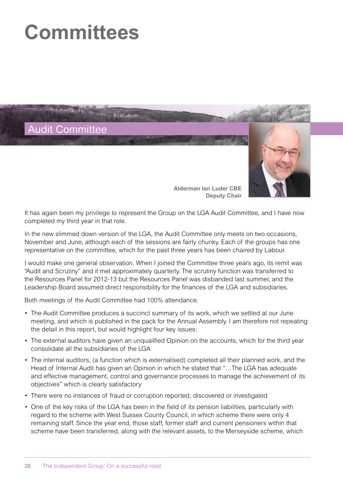# **Committees**



**Alderman Ian Luder CBE Deputy Chair**

It has again been my privilege to represent the Group on the LGA Audit Committee, and I have now completed my third year in that role.

In the new slimmed down version of the LGA, the Audit Committee only meets on two occasions, November and June, although each of the sessions are fairly chunky. Each of the groups has one representative on the committee, which for the past three years has been chaired by Labour.

I would make one general observation. When I joined the Committee three years ago, its remit was "Audit and Scrutiny" and it met approximately quarterly. The scrutiny function was transferred to the Resources Panel for 2012-13 but the Resources Panel was disbanded last summer, and the Leadership Board assumed direct responsibility for the finances of the LGA and subsidiaries.

Both meetings of the Audit Committee had 100% attendance.

- The Audit Committee produces a succinct summary of its work, which we settled at our June meeting, and which is published in the pack for the Annual Assembly. I am therefore not repeating the detail in this report, but would highlight four key issues:
- The external auditors have given an unqualified Opinion on the accounts, which for the third year consolidate all the subsidiaries of the LGA
- • The internal auditors, (a function which is externalised) completed all their planned work, and the Head of Internal Audit has given an Opinion in which he stated that "…The LGA has adequate and effective management, control and governance processes to manage the achievement of its objectives" which is clearly satisfactory
- There were no instances of fraud or corruption reported, discovered or investigated
- • One of the key risks of the LGA has been in the field of its pension liabilities, particularly with regard to the scheme with West Sussex County Council, in which scheme there were only 4 remaining staff. Since the year end, those staff, former staff and current pensioners within that scheme have been transferred, along with the relevant assets, to the Merseyside scheme, which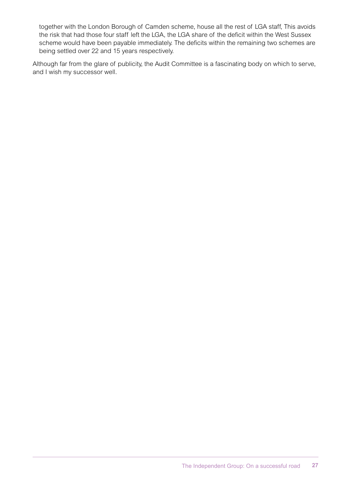together with the London Borough of Camden scheme, house all the rest of LGA staff, This avoids the risk that had those four staff left the LGA, the LGA share of the deficit within the West Sussex scheme would have been payable immediately. The deficits within the remaining two schemes are being settled over 22 and 15 years respectively.

Although far from the glare of publicity, the Audit Committee is a fascinating body on which to serve, and I wish my successor well.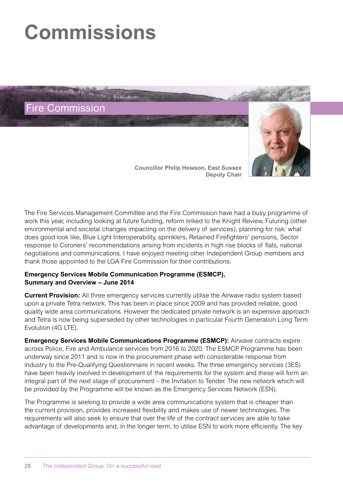# **Commissions**

Fire Commission



**Councillor Philip Howson, East Sussex Deputy Chair**

The Fire Services Management Committee and the Fire Commission have had a busy programme of work this year, including looking at future funding, reform linked to the Knight Review, Futuring (other environmental and societal changes impacting on the delivery of services), planning for risk: what does good look like, Blue Light Interoperability, sprinklers, Retained Firefighters' pensions, Sector response to Coroners' recommendations arising from incidents in high rise blocks of flats, national negotiations and communications. I have enjoyed meeting other Independent Group members and thank those appointed to the LGA Fire Commission for their contributions.

#### **Emergency Services Mobile Communication Programme (ESMCP), Summary and Overview – June 2014**

**Current Provision:** All three emergency services currently utilise the Airwave radio system based upon a private Tetra network. This has been in place since 2009 and has provided reliable, good quality wide area communications. However the dedicated private network is an expensive approach and Tetra is now being superseded by other technologies in particular Fourth Generation Long Term Evolution (4G LTE).

**Emergency Services Mobile Communications Programme (ESMCP):** Airwave contracts expire across Police, Fire and Ambulance services from 2016 to 2020. The ESMCP Programme has been underway since 2011 and is now in the procurement phase with considerable response from industry to the Pre-Qualifying Questionnaire in recent weeks. The three emergency services (3ES) have been heavily involved in development of the requirements for the system and these will form an integral part of the next stage of procurement – the Invitation to Tender. The new network which will be provided by the Programme will be known as the Emergency Services Network (ESN).

The Programme is seeking to provide a wide area communications system that is cheaper than the current provision, provides increased flexibility and makes use of newer technologies. The requirements will also seek to ensure that over the life of the contract services are able to take advantage of developments and, in the longer term, to utilise ESN to work more efficiently. The key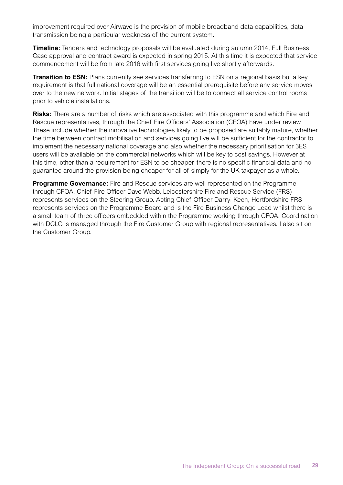improvement required over Airwave is the provision of mobile broadband data capabilities, data transmission being a particular weakness of the current system.

**Timeline:** Tenders and technology proposals will be evaluated during autumn 2014, Full Business Case approval and contract award is expected in spring 2015. At this time it is expected that service commencement will be from late 2016 with first services going live shortly afterwards.

**Transition to ESN:** Plans currently see services transferring to ESN on a regional basis but a key requirement is that full national coverage will be an essential prerequisite before any service moves over to the new network. Initial stages of the transition will be to connect all service control rooms prior to vehicle installations.

**Risks:** There are a number of risks which are associated with this programme and which Fire and Rescue representatives, through the Chief Fire Officers' Association (CFOA) have under review. These include whether the innovative technologies likely to be proposed are suitably mature, whether the time between contract mobilisation and services going live will be sufficient for the contractor to implement the necessary national coverage and also whether the necessary prioritisation for 3ES users will be available on the commercial networks which will be key to cost savings. However at this time, other than a requirement for ESN to be cheaper, there is no specific financial data and no guarantee around the provision being cheaper for all of simply for the UK taxpayer as a whole.

**Programme Governance:** Fire and Rescue services are well represented on the Programme through CFOA. Chief Fire Officer Dave Webb, Leicestershire Fire and Rescue Service (FRS) represents services on the Steering Group. Acting Chief Officer Darryl Keen, Hertfordshire FRS represents services on the Programme Board and is the Fire Business Change Lead whilst there is a small team of three officers embedded within the Programme working through CFOA. Coordination with DCLG is managed through the Fire Customer Group with regional representatives. I also sit on the Customer Group.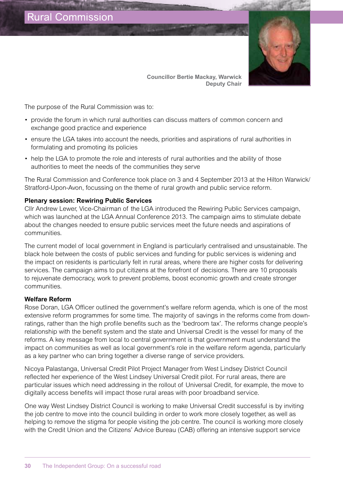

**Councillor Bertie Mackay, Warwick Deputy Chair**

The purpose of the Rural Commission was to:

- provide the forum in which rural authorities can discuss matters of common concern and exchange good practice and experience
- ensure the LGA takes into account the needs, priorities and aspirations of rural authorities in formulating and promoting its policies
- help the LGA to promote the role and interests of rural authorities and the ability of those authorities to meet the needs of the communities they serve

The Rural Commission and Conference took place on 3 and 4 September 2013 at the Hilton Warwick/ Stratford-Upon-Avon, focussing on the theme of rural growth and public service reform.

#### **Plenary session: Rewiring Public Services**

Cllr Andrew Lewer, Vice-Chairman of the LGA introduced the Rewiring Public Services campaign, which was launched at the LGA Annual Conference 2013. The campaign aims to stimulate debate about the changes needed to ensure public services meet the future needs and aspirations of communities.

The current model of local government in England is particularly centralised and unsustainable. The black hole between the costs of public services and funding for public services is widening and the impact on residents is particularly felt in rural areas, where there are higher costs for delivering services. The campaign aims to put citizens at the forefront of decisions. There are 10 proposals to rejuvenate democracy, work to prevent problems, boost economic growth and create stronger communities.

#### **Welfare Reform**

Rose Doran, LGA Officer outlined the government's welfare reform agenda, which is one of the most extensive reform programmes for some time. The majority of savings in the reforms come from downratings, rather than the high profile benefits such as the 'bedroom tax'. The reforms change people's relationship with the benefit system and the state and Universal Credit is the vessel for many of the reforms. A key message from local to central government is that government must understand the impact on communities as well as local government's role in the welfare reform agenda, particularly as a key partner who can bring together a diverse range of service providers.

Nicoya Palastanga, Universal Credit Pilot Project Manager from West Lindsey District Council reflected her experience of the West Lindsey Universal Credit pilot. For rural areas, there are particular issues which need addressing in the rollout of Universal Credit, for example, the move to digitally access benefits will impact those rural areas with poor broadband service.

One way West Lindsey District Council is working to make Universal Credit successful is by inviting the job centre to move into the council building in order to work more closely together, as well as helping to remove the stigma for people visiting the job centre. The council is working more closely with the Credit Union and the Citizens' Advice Bureau (CAB) offering an intensive support service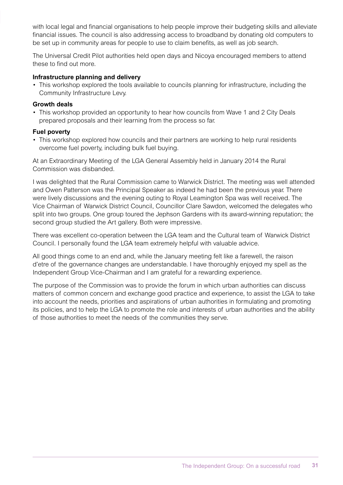with local legal and financial organisations to help people improve their budgeting skills and alleviate financial issues. The council is also addressing access to broadband by donating old computers to be set up in community areas for people to use to claim benefits, as well as job search.

The Universal Credit Pilot authorities held open days and Nicoya encouraged members to attend these to find out more.

#### **Infrastructure planning and delivery**

• This workshop explored the tools available to councils planning for infrastructure, including the Community Infrastructure Levy.

#### **Growth deals**

• This workshop provided an opportunity to hear how councils from Wave 1 and 2 City Deals prepared proposals and their learning from the process so far.

#### **Fuel poverty**

• This workshop explored how councils and their partners are working to help rural residents overcome fuel poverty, including bulk fuel buying.

At an Extraordinary Meeting of the LGA General Assembly held in January 2014 the Rural Commission was disbanded.

I was delighted that the Rural Commission came to Warwick District. The meeting was well attended and Owen Patterson was the Principal Speaker as indeed he had been the previous year. There were lively discussions and the evening outing to Royal Leamington Spa was well received. The Vice Chairman of Warwick District Council, Councillor Clare Sawdon, welcomed the delegates who split into two groups. One group toured the Jephson Gardens with its award-winning reputation; the second group studied the Art gallery. Both were impressive.

There was excellent co-operation between the LGA team and the Cultural team of Warwick District Council. I personally found the LGA team extremely helpful with valuable advice.

All good things come to an end and, while the January meeting felt like a farewell, the raison d'etre of the governance changes are understandable. I have thoroughly enjoyed my spell as the Independent Group Vice-Chairman and I am grateful for a rewarding experience.

The purpose of the Commission was to provide the forum in which urban authorities can discuss matters of common concern and exchange good practice and experience, to assist the LGA to take into account the needs, priorities and aspirations of urban authorities in formulating and promoting its policies, and to help the LGA to promote the role and interests of urban authorities and the ability of those authorities to meet the needs of the communities they serve.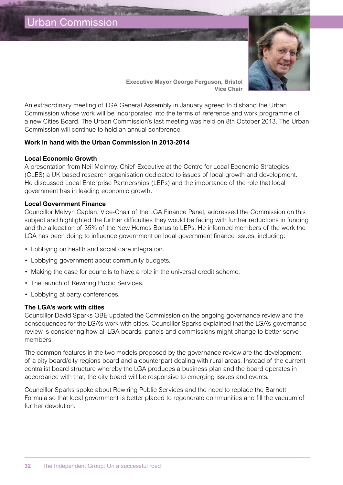

**Executive Mayor George Ferguson, Bristol Vice Chair**

An extraordinary meeting of LGA General Assembly in January agreed to disband the Urban Commission whose work will be incorporated into the terms of reference and work programme of a new Cities Board. The Urban Commission's last meeting was held on 8th October 2013. The Urban Commission will continue to hold an annual conference.

#### **Work in hand with the Urban Commission in 2013-2014**

#### **Local Economic Growth**

A presentation from Neil McInroy, Chief Executive at the Centre for Local Economic Strategies (CLES) a UK based research organisation dedicated to issues of local growth and development. He discussed Local Enterprise Partnerships (LEPs) and the importance of the role that local government has in leading economic growth.

#### **Local Government Finance**

Councillor Melvyn Caplan, Vice-Chair of the LGA Finance Panel, addressed the Commission on this subject and highlighted the further difficulties they would be facing with further reductions in funding and the allocation of 35% of the New Homes Bonus to LEPs. He informed members of the work the LGA has been doing to influence government on local government finance issues, including:

- Lobbying on health and social care integration.
- Lobbying government about community budgets.
- Making the case for councils to have a role in the universal credit scheme.
- The launch of Rewiring Public Services.
- Lobbying at party conferences.

#### **The LGA's work with cities**

Councillor David Sparks OBE updated the Commission on the ongoing governance review and the consequences for the LGA's work with cities. Councillor Sparks explained that the LGA's governance review is considering how all LGA boards, panels and commissions might change to better serve members.

The common features in the two models proposed by the governance review are the development of a city board/city regions board and a counterpart dealing with rural areas. Instead of the current centralist board structure whereby the LGA produces a business plan and the board operates in accordance with that, the city board will be responsive to emerging issues and events.

Councillor Sparks spoke about Rewiring Public Services and the need to replace the Barnett Formula so that local government is better placed to regenerate communities and fill the vacuum of further devolution.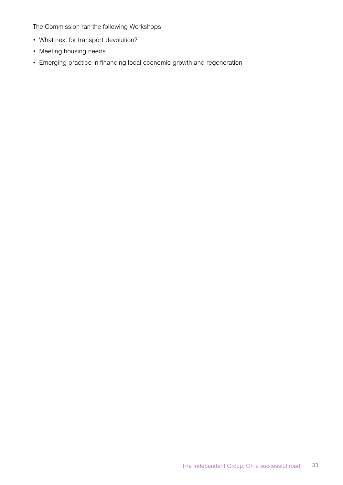The Commission ran the following Workshops:

- What next for transport devolution?
- Meeting housing needs
- • Emerging practice in financing local economic growth and regeneration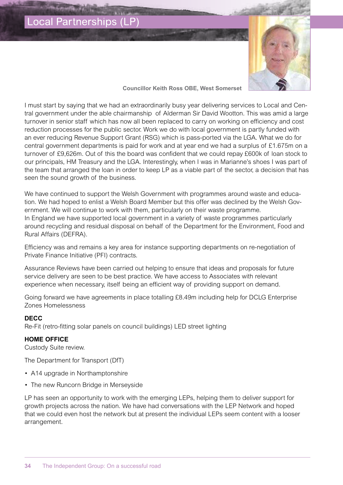Local Partnerships (LP)



**Councillor Keith Ross OBE, West Somerset**

I must start by saying that we had an extraordinarily busy year delivering services to Local and Central government under the able chairmanship of Alderman Sir David Wootton. This was amid a large turnover in senior staff which has now all been replaced to carry on working on efficiency and cost reduction processes for the public sector. Work we do with local government is partly funded with an ever reducing Revenue Support Grant (RSG) which is pass-ported via the LGA. What we do for central government departments is paid for work and at year end we had a surplus of £1.675m on a turnover of £9,626m. Out of this the board was confident that we could repay £600k of loan stock to our principals, HM Treasury and the LGA. Interestingly, when I was in Marianne's shoes I was part of the team that arranged the loan in order to keep LP as a viable part of the sector, a decision that has seen the sound growth of the business.

We have continued to support the Welsh Government with programmes around waste and education. We had hoped to enlist a Welsh Board Member but this offer was declined by the Welsh Government. We will continue to work with them, particularly on their waste programme. In England we have supported local government in a variety of waste programmes particularly around recycling and residual disposal on behalf of the Department for the Environment, Food and Rural Affairs (DEFRA).

Efficiency was and remains a key area for instance supporting departments on re-negotiation of Private Finance Initiative (PFI) contracts.

Assurance Reviews have been carried out helping to ensure that ideas and proposals for future service delivery are seen to be best practice. We have access to Associates with relevant experience when necessary, itself being an efficient way of providing support on demand.

Going forward we have agreements in place totalling £8.49m including help for DCLG Enterprise Zones Homelessness

#### **DECC**

Re-Fit (retro-fitting solar panels on council buildings) LED street lighting

#### **HOME OFFICE**

Custody Suite review.

The Department for Transport (DfT)

- A14 upgrade in Northamptonshire
- The new Runcorn Bridge in Merseyside

LP has seen an opportunity to work with the emerging LEPs, helping them to deliver support for growth projects across the nation. We have had conversations with the LEP Network and hoped that we could even host the network but at present the individual LEPs seem content with a looser arrangement.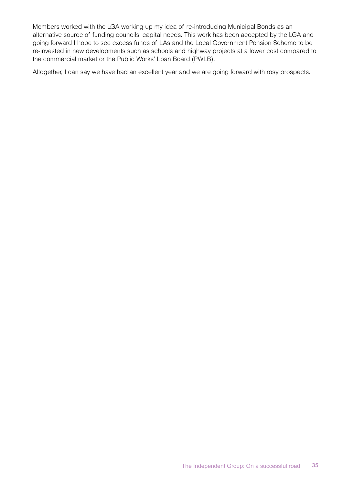Members worked with the LGA working up my idea of re-introducing Municipal Bonds as an alternative source of funding councils' capital needs. This work has been accepted by the LGA and going forward I hope to see excess funds of LAs and the Local Government Pension Scheme to be re-invested in new developments such as schools and highway projects at a lower cost compared to the commercial market or the Public Works' Loan Board (PWLB).

Altogether, I can say we have had an excellent year and we are going forward with rosy prospects.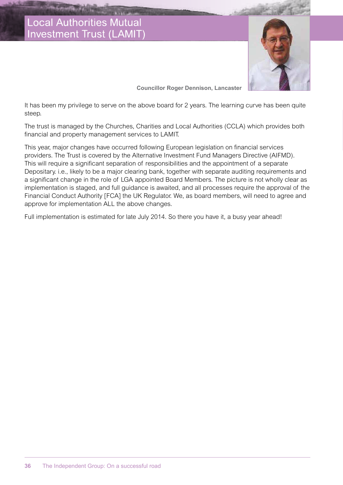

**Councillor Roger Dennison, Lancaster**

It has been my privilege to serve on the above board for 2 years. The learning curve has been quite steep.

The trust is managed by the Churches, Charities and Local Authorities (CCLA) which provides both financial and property management services to LAMIT.

This year, major changes have occurred following European legislation on financial services providers. The Trust is covered by the Alternative Investment Fund Managers Directive (AIFMD). This will require a significant separation of responsibilities and the appointment of a separate Depositary. i.e., likely to be a major clearing bank, together with separate auditing requirements and a significant change in the role of LGA appointed Board Members. The picture is not wholly clear as implementation is staged, and full guidance is awaited, and all processes require the approval of the Financial Conduct Authority [FCA] the UK Regulator. We, as board members, will need to agree and approve for implementation ALL the above changes.

Full implementation is estimated for late July 2014. So there you have it, a busy year ahead!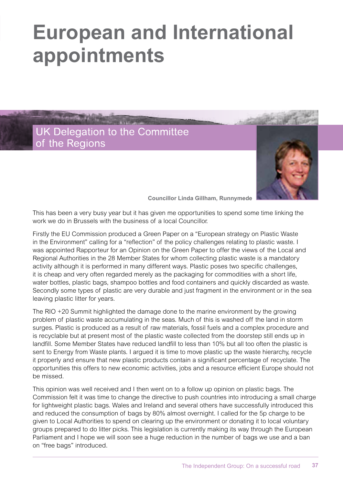# **European and International appointments**

UK Delegation to the Committee of the Regions



**Councillor Linda Gillham, Runnymede**

This has been a very busy year but it has given me opportunities to spend some time linking the work we do in Brussels with the business of a local Councillor.

Firstly the EU Commission produced a Green Paper on a "European strategy on Plastic Waste in the Environment" calling for a "reflection" of the policy challenges relating to plastic waste. I was appointed Rapporteur for an Opinion on the Green Paper to offer the views of the Local and Regional Authorities in the 28 Member States for whom collecting plastic waste is a mandatory activity although it is performed in many different ways. Plastic poses two specific challenges, it is cheap and very often regarded merely as the packaging for commodities with a short life, water bottles, plastic bags, shampoo bottles and food containers and quickly discarded as waste. Secondly some types of plastic are very durable and just fragment in the environment or in the sea leaving plastic litter for years.

The RIO +20 Summit highlighted the damage done to the marine environment by the growing problem of plastic waste accumulating in the seas. Much of this is washed off the land in storm surges. Plastic is produced as a result of raw materials, fossil fuels and a complex procedure and is recyclable but at present most of the plastic waste collected from the doorstep still ends up in landfill. Some Member States have reduced landfill to less than 10% but all too often the plastic is sent to Energy from Waste plants. I argued it is time to move plastic up the waste hierarchy, recycle it properly and ensure that new plastic products contain a significant percentage of recyclate. The opportunities this offers to new economic activities, jobs and a resource efficient Europe should not be missed.

This opinion was well received and I then went on to a follow up opinion on plastic bags. The Commission felt it was time to change the directive to push countries into introducing a small charge for lightweight plastic bags. Wales and Ireland and several others have successfully introduced this and reduced the consumption of bags by 80% almost overnight. I called for the 5p charge to be given to Local Authorities to spend on clearing up the environment or donating it to local voluntary groups prepared to do litter picks. This legislation is currently making its way through the European Parliament and I hope we will soon see a huge reduction in the number of bags we use and a ban on "free bags" introduced.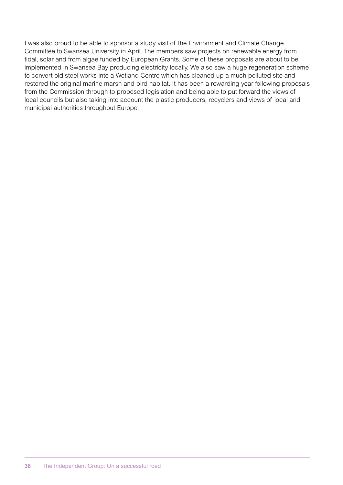I was also proud to be able to sponsor a study visit of the Environment and Climate Change Committee to Swansea University in April. The members saw projects on renewable energy from tidal, solar and from algae funded by European Grants. Some of these proposals are about to be implemented in Swansea Bay producing electricity locally. We also saw a huge regeneration scheme to convert old steel works into a Wetland Centre which has cleaned up a much polluted site and restored the original marine marsh and bird habitat. It has been a rewarding year following proposals from the Commission through to proposed legislation and being able to put forward the views of local councils but also taking into account the plastic producers, recyclers and views of local and municipal authorities throughout Europe.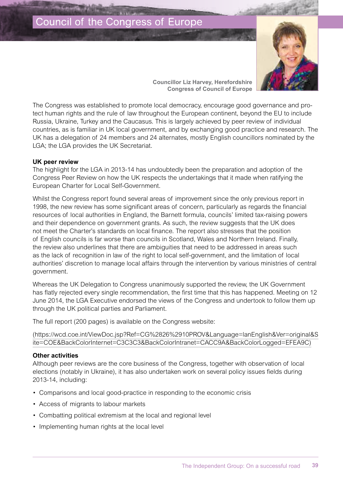## Council of the Congress of Europe



**Councillor Liz Harvey, Herefordshire Congress of Council of Europe**

The Congress was established to promote local democracy, encourage good governance and protect human rights and the rule of law throughout the European continent, beyond the EU to include Russia, Ukraine, Turkey and the Caucasus. This is largely achieved by peer review of individual countries, as is familiar in UK local government, and by exchanging good practice and research. The UK has a delegation of 24 members and 24 alternates, mostly English councillors nominated by the LGA; the LGA provides the UK Secretariat.

#### **UK peer review**

The highlight for the LGA in 2013-14 has undoubtedly been the preparation and adoption of the Congress Peer Review on how the UK respects the undertakings that it made when ratifying the European Charter for Local Self-Government.

Whilst the Congress report found several areas of improvement since the only previous report in 1998, the new review has some significant areas of concern, particularly as regards the financial resources of local authorities in England, the Barnett formula, councils' limited tax-raising powers and their dependence on government grants. As such, the review suggests that the UK does not meet the Charter's standards on local finance. The report also stresses that the position of English councils is far worse than councils in Scotland, Wales and Northern Ireland. Finally, the review also underlines that there are ambiguities that need to be addressed in areas such as the lack of recognition in law of the right to local self-government, and the limitation of local authorities' discretion to manage local affairs through the intervention by various ministries of central government.

Whereas the UK Delegation to Congress unanimously supported the review, the UK Government has flatly rejected every single recommendation, the first time that this has happened. Meeting on 12 June 2014, the LGA Executive endorsed the views of the Congress and undertook to follow them up through the UK political parties and Parliament.

The full report (200 pages) is available on the Congress website:

(https://wcd.coe.int/ViewDoc.jsp?Ref=CG%2826%2910PROV&Language=lanEnglish&Ver=original&S ite=COE&BackColorInternet=C3C3C3&BackColorIntranet=CACC9A&BackColorLogged=EFEA9C)

#### **Other activities**

Although peer reviews are the core business of the Congress, together with observation of local elections (notably in Ukraine), it has also undertaken work on several policy issues fields during 2013-14, including:

- • Comparisons and local good-practice in responding to the economic crisis
- • Access of migrants to labour markets
- Combatting political extremism at the local and regional level
- Implementing human rights at the local level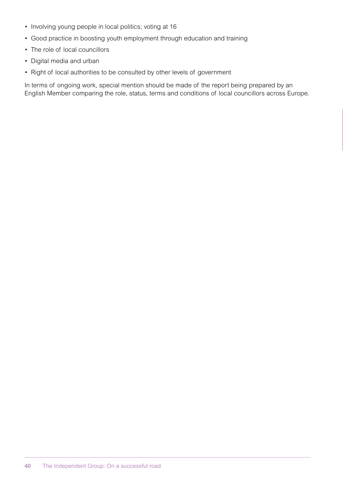- Involving young people in local politics; voting at 16
- Good practice in boosting youth employment through education and training
- The role of local councillors
- • Digital media and urban
- Right of local authorities to be consulted by other levels of government

In terms of ongoing work, special mention should be made of the report being prepared by an English Member comparing the role, status, terms and conditions of local councillors across Europe.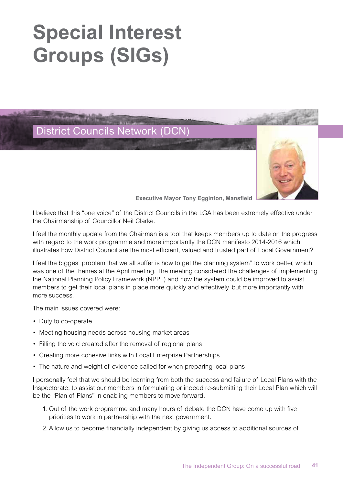# **Special Interest Groups (SIGs)**



**Executive Mayor Tony Egginton, Mansfield**

I believe that this "one voice" of the District Councils in the LGA has been extremely effective under the Chairmanship of Councillor Neil Clarke.

I feel the monthly update from the Chairman is a tool that keeps members up to date on the progress with regard to the work programme and more importantly the DCN manifesto 2014-2016 which illustrates how District Council are the most efficient, valued and trusted part of Local Government?

I feel the biggest problem that we all suffer is how to get the planning system" to work better, which was one of the themes at the April meeting. The meeting considered the challenges of implementing the National Planning Policy Framework (NPPF) and how the system could be improved to assist members to get their local plans in place more quickly and effectively, but more importantly with more success.

The main issues covered were:

- Duty to co-operate
- Meeting housing needs across housing market areas
- Filling the void created after the removal of regional plans
- Creating more cohesive links with Local Enterprise Partnerships
- The nature and weight of evidence called for when preparing local plans

I personally feel that we should be learning from both the success and failure of Local Plans with the Inspectorate; to assist our members in formulating or indeed re-submitting their Local Plan which will be the "Plan of Plans" in enabling members to move forward.

- 1. Out of the work programme and many hours of debate the DCN have come up with five priorities to work in partnership with the next government.
- 2. Allow us to become financially independent by giving us access to additional sources of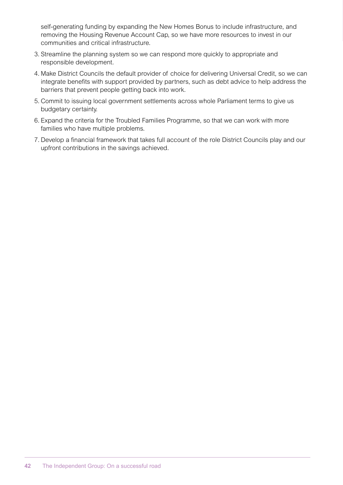self-generating funding by expanding the New Homes Bonus to include infrastructure, and removing the Housing Revenue Account Cap, so we have more resources to invest in our communities and critical infrastructure.

- 3. Streamline the planning system so we can respond more quickly to appropriate and responsible development.
- 4. Make District Councils the default provider of choice for delivering Universal Credit, so we can integrate benefits with support provided by partners, such as debt advice to help address the barriers that prevent people getting back into work.
- 5. Commit to issuing local government settlements across whole Parliament terms to give us budgetary certainty.
- 6. Expand the criteria for the Troubled Families Programme, so that we can work with more families who have multiple problems.
- 7. Develop a financial framework that takes full account of the role District Councils play and our upfront contributions in the savings achieved.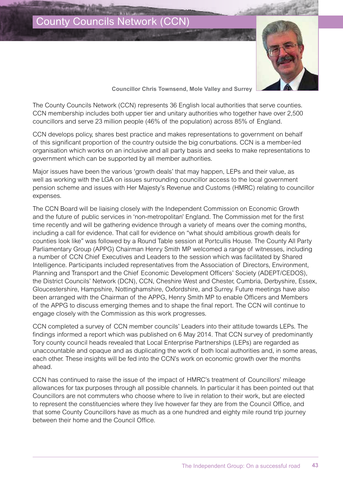

**Councillor Chris Townsend, Mole Valley and Surrey**

The County Councils Network (CCN) represents 36 English local authorities that serve counties. CCN membership includes both upper tier and unitary authorities who together have over 2,500 councillors and serve 23 million people (46% of the population) across 85% of England.

CCN develops policy, shares best practice and makes representations to government on behalf of this significant proportion of the country outside the big conurbations. CCN is a member-led organisation which works on an inclusive and all party basis and seeks to make representations to government which can be supported by all member authorities.

Major issues have been the various 'growth deals' that may happen, LEPs and their value, as well as working with the LGA on issues surrounding councillor access to the local government pension scheme and issues with Her Majesty's Revenue and Customs (HMRC) relating to councillor expenses.

The CCN Board will be liaising closely with the Independent Commission on Economic Growth and the future of public services in 'non-metropolitan' England. The Commission met for the first time recently and will be gathering evidence through a variety of means over the coming months, including a call for evidence. That call for evidence on "what should ambitious growth deals for counties look like" was followed by a Round Table session at Portcullis House. The County All Party Parliamentary Group (APPG) Chairman Henry Smith MP welcomed a range of witnesses, including a number of CCN Chief Executives and Leaders to the session which was facilitated by Shared Intelligence. Participants included representatives from the Association of Directors, Environment, Planning and Transport and the Chief Economic Development Officers' Society (ADEPT/CEDOS), the District Councils' Network (DCN), CCN, Cheshire West and Chester, Cumbria, Derbyshire, Essex, Gloucestershire, Hampshire, Nottinghamshire, Oxfordshire, and Surrey. Future meetings have also been arranged with the Chairman of the APPG, Henry Smith MP to enable Officers and Members of the APPG to discuss emerging themes and to shape the final report. The CCN will continue to engage closely with the Commission as this work progresses.

CCN completed a survey of CCN member councils' Leaders into their attitude towards LEPs. The findings informed a report which was published on 6 May 2014. That CCN survey of predominantly Tory county council heads revealed that Local Enterprise Partnerships (LEPs) are regarded as unaccountable and opaque and as duplicating the work of both local authorities and, in some areas, each other. These insights will be fed into the CCN's work on economic growth over the months ahead.

CCN has continued to raise the issue of the impact of HMRC's treatment of Councillors' mileage allowances for tax purposes through all possible channels. In particular it has been pointed out that Councillors are not commuters who choose where to live in relation to their work, but are elected to represent the constituencies where they live however far they are from the Council Office, and that some County Councillors have as much as a one hundred and eighty mile round trip journey between their home and the Council Office.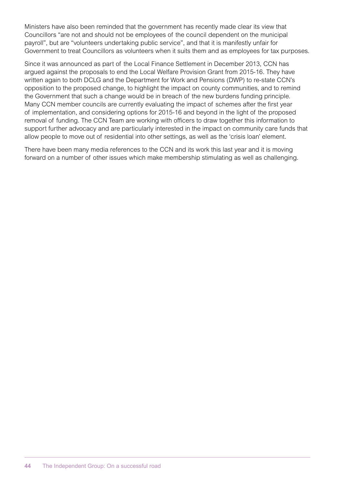Ministers have also been reminded that the government has recently made clear its view that Councillors "are not and should not be employees of the council dependent on the municipal payroll", but are "volunteers undertaking public service", and that it is manifestly unfair for Government to treat Councillors as volunteers when it suits them and as employees for tax purposes.

Since it was announced as part of the Local Finance Settlement in December 2013, CCN has argued against the proposals to end the Local Welfare Provision Grant from 2015-16. They have written again to both DCLG and the Department for Work and Pensions (DWP) to re-state CCN's opposition to the proposed change, to highlight the impact on county communities, and to remind the Government that such a change would be in breach of the new burdens funding principle. Many CCN member councils are currently evaluating the impact of schemes after the first year of implementation, and considering options for 2015-16 and beyond in the light of the proposed removal of funding. The CCN Team are working with officers to draw together this information to support further advocacy and are particularly interested in the impact on community care funds that allow people to move out of residential into other settings, as well as the 'crisis loan' element.

There have been many media references to the CCN and its work this last year and it is moving forward on a number of other issues which make membership stimulating as well as challenging.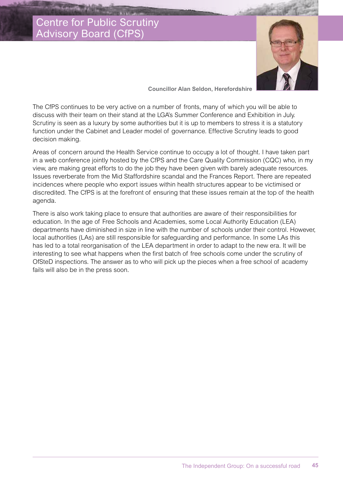## Centre for Public Scrutiny Advisory Board (CfPS)



**Councillor Alan Seldon, Herefordshire**

The CfPS continues to be very active on a number of fronts, many of which you will be able to discuss with their team on their stand at the LGA's Summer Conference and Exhibition in July. Scrutiny is seen as a luxury by some authorities but it is up to members to stress it is a statutory function under the Cabinet and Leader model of governance. Effective Scrutiny leads to good decision making.

Areas of concern around the Health Service continue to occupy a lot of thought. I have taken part in a web conference jointly hosted by the CfPS and the Care Quality Commission (CQC) who, in my view, are making great efforts to do the job they have been given with barely adequate resources. Issues reverberate from the Mid Staffordshire scandal and the Frances Report. There are repeated incidences where people who export issues within health structures appear to be victimised or discredited. The CfPS is at the forefront of ensuring that these issues remain at the top of the health agenda.

There is also work taking place to ensure that authorities are aware of their responsibilities for education. In the age of Free Schools and Academies, some Local Authority Education (LEA) departments have diminished in size in line with the number of schools under their control. However, local authorities (LAs) are still responsible for safeguarding and performance. In some LAs this has led to a total reorganisation of the LEA department in order to adapt to the new era. It will be interesting to see what happens when the first batch of free schools come under the scrutiny of OfSteD inspections. The answer as to who will pick up the pieces when a free school of academy fails will also be in the press soon.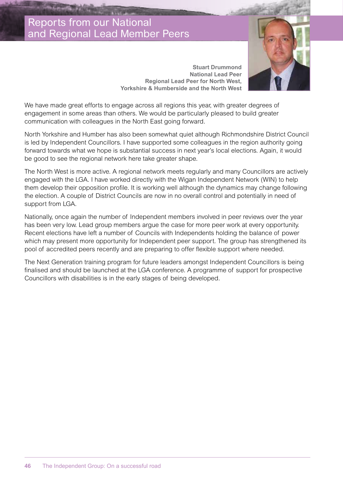### Reports from our National and Regional Lead Member Peers



**Stuart Drummond National Lead Peer Regional Lead Peer for North West, Yorkshire & Humberside and the North West**

We have made great efforts to engage across all regions this year, with greater degrees of engagement in some areas than others. We would be particularly pleased to build greater communication with colleagues in the North East going forward.

North Yorkshire and Humber has also been somewhat quiet although Richmondshire District Council is led by Independent Councillors. I have supported some colleagues in the region authority going forward towards what we hope is substantial success in next year's local elections. Again, it would be good to see the regional network here take greater shape.

The North West is more active. A regional network meets regularly and many Councillors are actively engaged with the LGA. I have worked directly with the Wigan Independent Network (WIN) to help them develop their opposition profile. It is working well although the dynamics may change following the election. A couple of District Councils are now in no overall control and potentially in need of support from LGA.

Nationally, once again the number of Independent members involved in peer reviews over the year has been very low. Lead group members argue the case for more peer work at every opportunity. Recent elections have left a number of Councils with Independents holding the balance of power which may present more opportunity for Independent peer support. The group has strengthened its pool of accredited peers recently and are preparing to offer flexible support where needed.

The Next Generation training program for future leaders amongst Independent Councillors is being finalised and should be launched at the LGA conference. A programme of support for prospective Councillors with disabilities is in the early stages of being developed.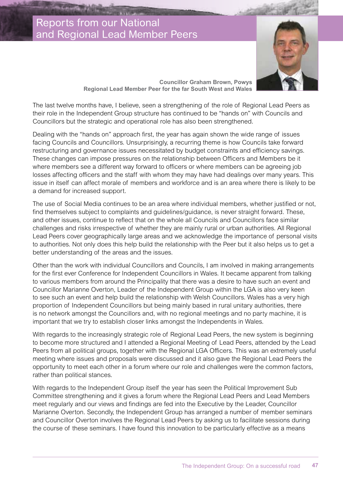### Reports from our National and Regional Lead Member Peers



**Councillor Graham Brown, Powys Regional Lead Member Peer for the far South West and Wales** 

The last twelve months have, I believe, seen a strengthening of the role of Regional Lead Peers as their role in the Independent Group structure has continued to be "hands on" with Councils and Councillors but the strategic and operational role has also been strengthened.

Dealing with the "hands on" approach first, the year has again shown the wide range of issues facing Councils and Councillors. Unsurprisingly, a recurring theme is how Councils take forward restructuring and governance issues necessitated by budget constraints and efficiency savings. These changes can impose pressures on the relationship between Officers and Members be it where members see a different way forward to officers or where members can be agreeing job losses affecting officers and the staff with whom they may have had dealings over many years. This issue in itself can affect morale of members and workforce and is an area where there is likely to be a demand for increased support.

The use of Social Media continues to be an area where individual members, whether justified or not, find themselves subject to complaints and guidelines/guidance, is never straight forward. These, and other issues, continue to reflect that on the whole all Councils and Councillors face similar challenges and risks irrespective of whether they are mainly rural or urban authorities. All Regional Lead Peers cover geographically large areas and we acknowledge the importance of personal visits to authorities. Not only does this help build the relationship with the Peer but it also helps us to get a better understanding of the areas and the issues.

Other than the work with individual Councillors and Councils, I am involved in making arrangements for the first ever Conference for Independent Councillors in Wales. It became apparent from talking to various members from around the Principality that there was a desire to have such an event and Councillor Marianne Overton, Leader of the Independent Group within the LGA is also very keen to see such an event and help build the relationship with Welsh Councillors. Wales has a very high proportion of Independent Councillors but being mainly based in rural unitary authorities, there is no network amongst the Councillors and, with no regional meetings and no party machine, it is important that we try to establish closer links amongst the Independents in Wales.

With regards to the increasingly strategic role of Regional Lead Peers, the new system is beginning to become more structured and I attended a Regional Meeting of Lead Peers, attended by the Lead Peers from all political groups, together with the Regional LGA Officers. This was an extremely useful meeting where issues and proposals were discussed and it also gave the Regional Lead Peers the opportunity to meet each other in a forum where our role and challenges were the common factors, rather than political stances.

With regards to the Independent Group itself the year has seen the Political Improvement Sub Committee strengthening and it gives a forum where the Regional Lead Peers and Lead Members meet regularly and our views and findings are fed into the Executive by the Leader, Councillor Marianne Overton. Secondly, the Independent Group has arranged a number of member seminars and Councillor Overton involves the Regional Lead Peers by asking us to facilitate sessions during the course of these seminars. I have found this innovation to be particularly effective as a means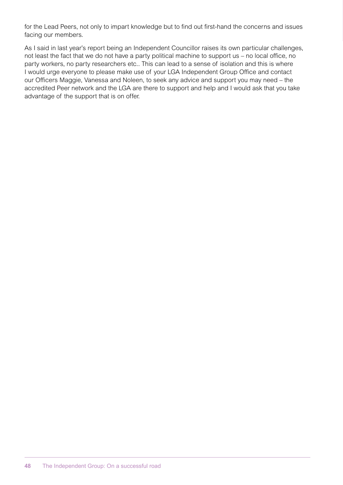for the Lead Peers, not only to impart knowledge but to find out first-hand the concerns and issues facing our members.

As I said in last year's report being an Independent Councillor raises its own particular challenges, not least the fact that we do not have a party political machine to support us – no local office, no party workers, no party researchers etc.. This can lead to a sense of isolation and this is where I would urge everyone to please make use of your LGA Independent Group Office and contact our Officers Maggie, Vanessa and Noleen, to seek any advice and support you may need – the accredited Peer network and the LGA are there to support and help and I would ask that you take advantage of the support that is on offer.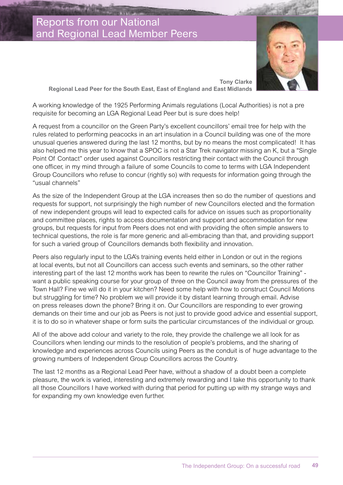### Reports from our National and Regional Lead Member Peers



**Tony Clarke Regional Lead Peer for the South East, East of England and East Midlands** 

A working knowledge of the 1925 Performing Animals regulations (Local Authorities) is not a pre requisite for becoming an LGA Regional Lead Peer but is sure does help!

A request from a councillor on the Green Party's excellent councillors' email tree for help with the rules related to performing peacocks in an art insulation in a Council building was one of the more unusual queries answered during the last 12 months, but by no means the most complicated! It has also helped me this year to know that a SPOC is not a Star Trek navigator missing an K, but a "Single Point Of Contact" order used against Councillors restricting their contact with the Council through one officer, in my mind through a failure of some Councils to come to terms with LGA Independent Group Councillors who refuse to concur (rightly so) with requests for information going through the "usual channels"

As the size of the Independent Group at the LGA increases then so do the number of questions and requests for support, not surprisingly the high number of new Councillors elected and the formation of new independent groups will lead to expected calls for advice on issues such as proportionality and committee places, rights to access documentation and support and accommodation for new groups, but requests for input from Peers does not end with providing the often simple answers to technical questions, the role is far more generic and all-embracing than that, and providing support for such a varied group of Councillors demands both flexibility and innovation.

Peers also regularly input to the LGA's training events held either in London or out in the regions at local events, but not all Councillors can access such events and seminars, so the other rather interesting part of the last 12 months work has been to rewrite the rules on "Councillor Training" want a public speaking course for your group of three on the Council away from the pressures of the Town Hall? Fine we will do it in your kitchen? Need some help with how to construct Council Motions but struggling for time? No problem we will provide it by distant learning through email. Advise on press releases down the phone? Bring it on. Our Councillors are responding to ever growing demands on their time and our job as Peers is not just to provide good advice and essential support, it is to do so in whatever shape or form suits the particular circumstances of the individual or group.

All of the above add colour and variety to the role, they provide the challenge we all look for as Councillors when lending our minds to the resolution of people's problems, and the sharing of knowledge and experiences across Councils using Peers as the conduit is of huge advantage to the growing numbers of Independent Group Councillors across the Country.

The last 12 months as a Regional Lead Peer have, without a shadow of a doubt been a complete pleasure, the work is varied, interesting and extremely rewarding and I take this opportunity to thank all those Councillors I have worked with during that period for putting up with my strange ways and for expanding my own knowledge even further.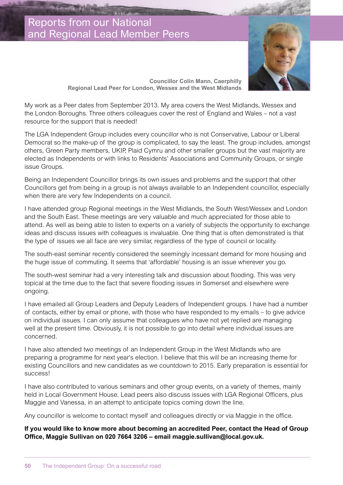### Reports from our National and Regional Lead Member Peers



**Councillor Colin Mann, Caerphilly Regional Lead Peer for London, Wessex and the West Midlands**

My work as a Peer dates from September 2013. My area covers the West Midlands, Wessex and the London Boroughs. Three others colleagues cover the rest of England and Wales – not a vast resource for the support that is needed!

The LGA Independent Group includes every councillor who is not Conservative, Labour or Liberal Democrat so the make-up of the group is complicated, to say the least. The group includes, amongst others, Green Party members, UKIP, Plaid Cymru and other smaller groups but the vast majority are elected as Independents or with links to Residents' Associations and Community Groups, or single issue Groups.

Being an Independent Councillor brings its own issues and problems and the support that other Councillors get from being in a group is not always available to an Independent councillor, especially when there are very few Independents on a council.

I have attended group Regional meetings in the West Midlands, the South West/Wessex and London and the South East. These meetings are very valuable and much appreciated for those able to attend. As well as being able to listen to experts on a variety of subjects the opportunity to exchange ideas and discuss issues with colleagues is invaluable. One thing that is often demonstrated is that the type of issues we all face are very similar, regardless of the type of council or locality.

The south-east seminar recently considered the seemingly incessant demand for more housing and the huge issue of commuting. It seems that 'affordable' housing is an issue wherever you go.

The south-west seminar had a very interesting talk and discussion about flooding. This was very topical at the time due to the fact that severe flooding issues in Somerset and elsewhere were ongoing.

I have emailed all Group Leaders and Deputy Leaders of Independent groups. I have had a number of contacts, either by email or phone, with those who have responded to my emails – to give advice on individual issues. I can only assume that colleagues who have not yet replied are managing well at the present time. Obviously, it is not possible to go into detail where individual issues are concerned.

I have also attended two meetings of an Independent Group in the West Midlands who are preparing a programme for next year's election. I believe that this will be an increasing theme for existing Councillors and new candidates as we countdown to 2015. Early preparation is essential for success!

I have also contributed to various seminars and other group events, on a variety of themes, mainly held in Local Government House. Lead peers also discuss issues with LGA Regional Officers, plus Maggie and Vanessa, in an attempt to anticipate topics coming down the line.

Any councillor is welcome to contact myself and colleagues directly or via Maggie in the office.

#### **If you would like to know more about becoming an accredited Peer, contact the Head of Group Office, Maggie Sullivan on 020 7664 3206 – email maggie.sullivan@local.gov.uk.**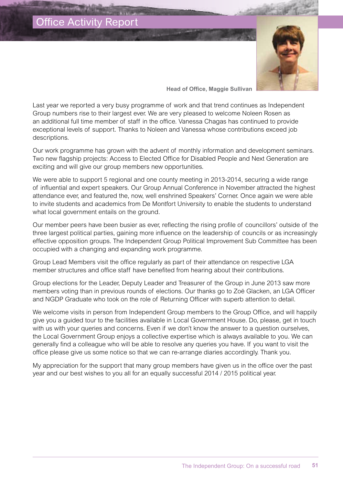

**Head of Office, Maggie Sullivan**

Last year we reported a very busy programme of work and that trend continues as Independent Group numbers rise to their largest ever. We are very pleased to welcome Noleen Rosen as an additional full time member of staff in the office. Vanessa Chagas has continued to provide exceptional levels of support. Thanks to Noleen and Vanessa whose contributions exceed job descriptions.

Our work programme has grown with the advent of monthly information and development seminars. Two new flagship projects: Access to Elected Office for Disabled People and Next Generation are exciting and will give our group members new opportunities.

We were able to support 5 regional and one county meeting in 2013-2014, securing a wide range of influential and expert speakers. Our Group Annual Conference in November attracted the highest attendance ever, and featured the, now, well enshrined Speakers' Corner. Once again we were able to invite students and academics from De Montfort University to enable the students to understand what local government entails on the ground.

Our member peers have been busier as ever, reflecting the rising profile of councillors' outside of the three largest political parties, gaining more influence on the leadership of councils or as increasingly effective opposition groups. The Independent Group Political Improvement Sub Committee has been occupied with a changing and expanding work programme.

Group Lead Members visit the office regularly as part of their attendance on respective LGA member structures and office staff have benefited from hearing about their contributions.

Group elections for the Leader, Deputy Leader and Treasurer of the Group in June 2013 saw more members voting than in previous rounds of elections. Our thanks go to Zoë Glacken, an LGA Officer and NGDP Graduate who took on the role of Returning Officer with superb attention to detail.

We welcome visits in person from Independent Group members to the Group Office, and will happily give you a guided tour to the facilities available in Local Government House. Do, please, get in touch with us with your queries and concerns. Even if we don't know the answer to a question ourselves, the Local Government Group enjoys a collective expertise which is always available to you. We can generally find a colleague who will be able to resolve any queries you have. If you want to visit the office please give us some notice so that we can re-arrange diaries accordingly. Thank you.

My appreciation for the support that many group members have given us in the office over the past year and our best wishes to you all for an equally successful 2014 / 2015 political year.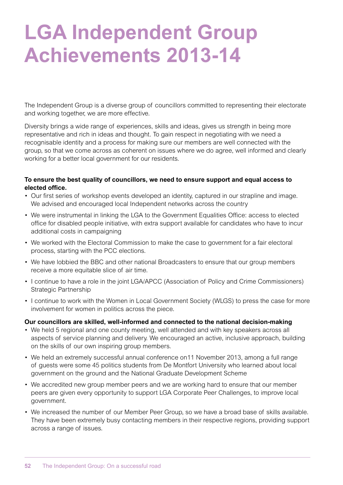# **LGA Independent Group Achievements 2013-14**

The Independent Group is a diverse group of councillors committed to representing their electorate and working together, we are more effective.

Diversity brings a wide range of experiences, skills and ideas, gives us strength in being more representative and rich in ideas and thought. To gain respect in negotiating with we need a recognisable identity and a process for making sure our members are well connected with the group, so that we come across as coherent on issues where we do agree, well informed and clearly working for a better local government for our residents.

#### **To ensure the best quality of councillors, we need to ensure support and equal access to elected office.**

- Our first series of workshop events developed an identity, captured in our strapline and image. We advised and encouraged local Independent networks across the country
- • We were instrumental in linking the LGA to the Government Equalities Office: access to elected office for disabled people initiative, with extra support available for candidates who have to incur additional costs in campaigning
- We worked with the Electoral Commission to make the case to government for a fair electoral process, starting with the PCC elections.
- We have lobbied the BBC and other national Broadcasters to ensure that our group members receive a more equitable slice of air time.
- I continue to have a role in the joint LGA/APCC (Association of Policy and Crime Commissioners) Strategic Partnership
- I continue to work with the Women in Local Government Society (WLGS) to press the case for more involvement for women in politics across the piece.

#### **Our councillors are skilled, well-informed and connected to the national decision-making**

- We held 5 regional and one county meeting, well attended and with key speakers across all aspects of service planning and delivery. We encouraged an active, inclusive approach, building on the skills of our own inspiring group members.
- We held an extremely successful annual conference on 11 November 2013, among a full range of guests were some 45 politics students from De Montfort University who learned about local government on the ground and the National Graduate Development Scheme
- We accredited new group member peers and we are working hard to ensure that our member peers are given every opportunity to support LGA Corporate Peer Challenges, to improve local government.
- We increased the number of our Member Peer Group, so we have a broad base of skills available. They have been extremely busy contacting members in their respective regions, providing support across a range of issues.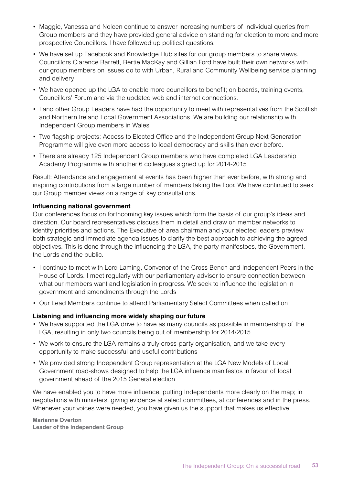- Maggie, Vanessa and Noleen continue to answer increasing numbers of individual queries from Group members and they have provided general advice on standing for election to more and more prospective Councillors. I have followed up political questions.
- We have set up Facebook and Knowledge Hub sites for our group members to share views. Councillors Clarence Barrett, Bertie MacKay and Gillian Ford have built their own networks with our group members on issues do to with Urban, Rural and Community Wellbeing service planning and delivery
- We have opened up the LGA to enable more councillors to benefit; on boards, training events, Councillors' Forum and via the updated web and internet connections.
- I and other Group Leaders have had the opportunity to meet with representatives from the Scottish and Northern Ireland Local Government Associations. We are building our relationship with Independent Group members in Wales.
- Two flagship projects: Access to Elected Office and the Independent Group Next Generation Programme will give even more access to local democracy and skills than ever before.
- There are already 125 Independent Group members who have completed LGA Leadership Academy Programme with another 6 colleagues signed up for 2014-2015

Result: Attendance and engagement at events has been higher than ever before, with strong and inspiring contributions from a large number of members taking the floor. We have continued to seek our Group member views on a range of key consultations.

#### **Influencing national government**

Our conferences focus on forthcoming key issues which form the basis of our group's ideas and direction. Our board representatives discuss them in detail and draw on member networks to identify priorities and actions. The Executive of area chairman and your elected leaders preview both strategic and immediate agenda issues to clarify the best approach to achieving the agreed objectives. This is done through the influencing the LGA, the party manifestoes, the Government, the Lords and the public.

- I continue to meet with Lord Laming, Convenor of the Cross Bench and Independent Peers in the House of Lords. I meet regularly with our parliamentary advisor to ensure connection between what our members want and legislation in progress. We seek to influence the legislation in government and amendments through the Lords
- • Our Lead Members continue to attend Parliamentary Select Committees when called on

#### **Listening and influencing more widely shaping our future**

- We have supported the LGA drive to have as many councils as possible in membership of the LGA, resulting in only two councils being out of membership for 2014/2015
- We work to ensure the LGA remains a truly cross-party organisation, and we take every opportunity to make successful and useful contributions
- We provided strong Independent Group representation at the LGA New Models of Local Government road-shows designed to help the LGA influence manifestos in favour of local government ahead of the 2015 General election

We have enabled you to have more influence, putting Independents more clearly on the map; in negotiations with ministers, giving evidence at select committees, at conferences and in the press. Whenever your voices were needed, you have given us the support that makes us effective.

**Marianne Overton Leader of the Independent Group**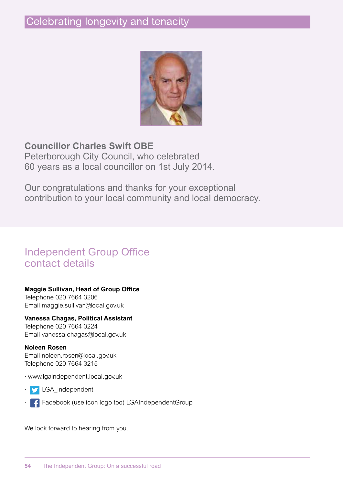

### **Councillor Charles Swift OBE**

Peterborough City Council, who celebrated 60 years as a local councillor on 1st July 2014.

Our congratulations and thanks for your exceptional contribution to your local community and local democracy.

### Independent Group Office contact details

#### **Maggie Sullivan, Head of Group Office**

Telephone 020 7664 3206 Email maggie.sullivan@local.gov.uk

#### **Vanessa Chagas, Political Assistant**

Telephone 020 7664 3224 Email vanessa.chagas@local.gov.uk

#### **Noleen Rosen**

Email noleen.rosen@local.gov.uk Telephone 020 7664 3215

- · www.lgaindependent.local.gov.uk
- · LGA\_independent
- **F** Facebook (use icon logo too) LGAIndependentGroup

We look forward to hearing from you.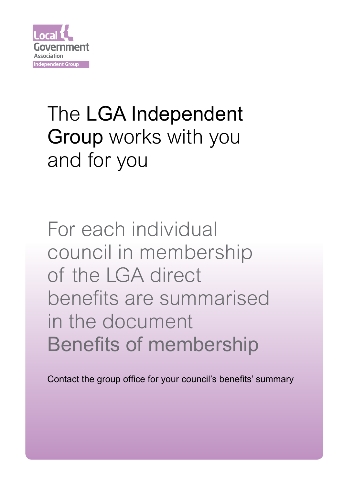

# The LGA Independent Group works with you and for you

For each individual council in membership of the LGA direct benefits are summarised in the document Benefits of membership

Contact the group office for your council's benefits' summary